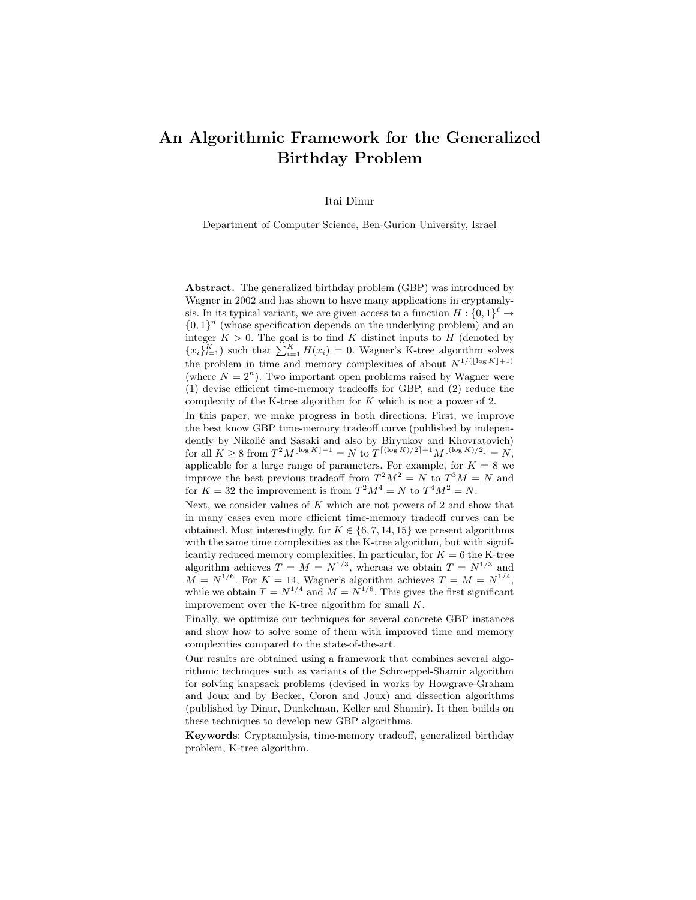# An Algorithmic Framework for the Generalized Birthday Problem

#### Itai Dinur

Department of Computer Science, Ben-Gurion University, Israel

Abstract. The generalized birthday problem (GBP) was introduced by Wagner in 2002 and has shown to have many applications in cryptanalysis. In its typical variant, we are given access to a function  $H: \{0,1\}^{\ell} \to$  ${0, 1}^n$  (whose specification depends on the underlying problem) and an integer  $K > 0$ . The goal is to find K distinct inputs to H (denoted by  ${x_i}_{i=1}^K$  such that  $\sum_{i=1}^K H(x_i) = 0$ . Wagner's K-tree algorithm solves the problem in time and memory complexities of about  $N^{1/(\lfloor \log K \rfloor + 1)}$ (where  $N = 2<sup>n</sup>$ ). Two important open problems raised by Wagner were (1) devise efficient time-memory tradeoffs for GBP, and (2) reduce the complexity of the K-tree algorithm for K which is not a power of 2.

In this paper, we make progress in both directions. First, we improve the best know GBP time-memory tradeoff curve (published by independently by Nikolić and Sasaki and also by Biryukov and Khovratovich) for all  $K \geq 8$  from  $T^2 M^{\lfloor \log K \rfloor - 1} = N$  to  $T^{\lceil (\log K)/2 \rceil + 1} M^{\lfloor (\log K)/2 \rfloor} = N$ , applicable for a large range of parameters. For example, for  $K = 8$  we improve the best previous tradeoff from  $T^2M^2 = N$  to  $T^3M = N$  and for  $K = 32$  the improvement is from  $T^2 M^4 = N$  to  $T^4 M^2 = N$ .

Next, we consider values of  $K$  which are not powers of 2 and show that in many cases even more efficient time-memory tradeoff curves can be obtained. Most interestingly, for  $K \in \{6, 7, 14, 15\}$  we present algorithms with the same time complexities as the K-tree algorithm, but with significantly reduced memory complexities. In particular, for  $K = 6$  the K-tree algorithm achieves  $T = M = N^{1/3}$ , whereas we obtain  $T = N^{1/3}$  and  $M = N^{1/6}$ . For  $K = 14$ , Wagner's algorithm achieves  $T = M = N^{1/4}$ , while we obtain  $T = N^{1/4}$  and  $M = N^{1/8}$ . This gives the first significant improvement over the K-tree algorithm for small  $K$ .

Finally, we optimize our techniques for several concrete GBP instances and show how to solve some of them with improved time and memory complexities compared to the state-of-the-art.

Our results are obtained using a framework that combines several algorithmic techniques such as variants of the Schroeppel-Shamir algorithm for solving knapsack problems (devised in works by Howgrave-Graham and Joux and by Becker, Coron and Joux) and dissection algorithms (published by Dinur, Dunkelman, Keller and Shamir). It then builds on these techniques to develop new GBP algorithms.

Keywords: Cryptanalysis, time-memory tradeoff, generalized birthday problem, K-tree algorithm.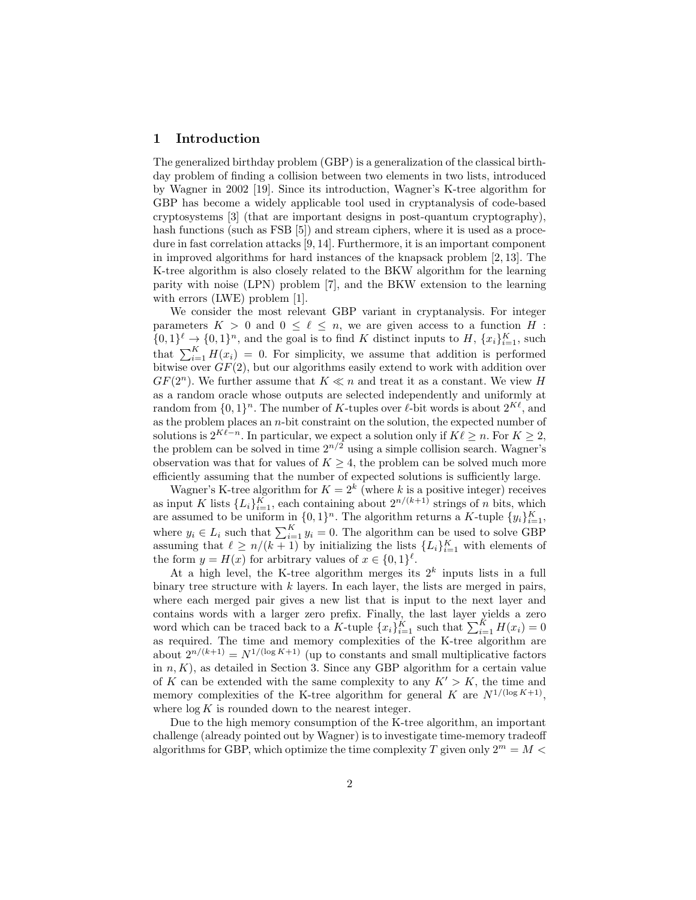### 1 Introduction

The generalized birthday problem (GBP) is a generalization of the classical birthday problem of finding a collision between two elements in two lists, introduced by Wagner in 2002 [19]. Since its introduction, Wagner's K-tree algorithm for GBP has become a widely applicable tool used in cryptanalysis of code-based cryptosystems [3] (that are important designs in post-quantum cryptography), hash functions (such as FSB [5]) and stream ciphers, where it is used as a procedure in fast correlation attacks [9, 14]. Furthermore, it is an important component in improved algorithms for hard instances of the knapsack problem  $[2, 13]$ . The K-tree algorithm is also closely related to the BKW algorithm for the learning parity with noise (LPN) problem [7], and the BKW extension to the learning with errors (LWE) problem [1].

We consider the most relevant GBP variant in cryptanalysis. For integer parameters  $K > 0$  and  $0 \le \ell \le n$ , we are given access to a function H :  $\{0,1\}^{\ell} \to \{0,1\}^n$ , and the goal is to find K distinct inputs to H,  $\{x_i\}_{i=1}^K$ , such that  $\sum_{i=1}^{K} H(x_i) = 0$ . For simplicity, we assume that addition is performed bitwise over  $GF(2)$ , but our algorithms easily extend to work with addition over  $GF(2<sup>n</sup>)$ . We further assume that  $K \ll n$  and treat it as a constant. We view H as a random oracle whose outputs are selected independently and uniformly at random from  $\{0,1\}^n$ . The number of K-tuples over  $\ell$ -bit words is about  $2^{K\ell}$ , and as the problem places an  $n$ -bit constraint on the solution, the expected number of solutions is  $2^{K\ell-n}$ . In particular, we expect a solution only if  $K\ell \geq n$ . For  $K \geq 2$ , the problem can be solved in time  $2^{n/2}$  using a simple collision search. Wagner's observation was that for values of  $K \geq 4$ , the problem can be solved much more efficiently assuming that the number of expected solutions is sufficiently large.

Wagner's K-tree algorithm for  $K = 2<sup>k</sup>$  (where k is a positive integer) receives as input K lists  $\{L_i\}_{i=1}^K$ , each containing about  $2^{n/(k+1)}$  strings of n bits, which are assumed to be uniform in  $\{0,1\}^n$ . The algorithm returns a K-tuple  $\{y_i\}_{i=1}^K$ , where  $y_i \in L_i$  such that  $\sum_{i=1}^K y_i = 0$ . The algorithm can be used to solve GBP assuming that  $\ell \geq n/(k+1)$  by initializing the lists  $\{L_i\}_{i=1}^K$  with elements of the form  $y = H(x)$  for arbitrary values of  $x \in \{0,1\}^{\ell}$ .

At a high level, the K-tree algorithm merges its  $2^k$  inputs lists in a full binary tree structure with  $k$  layers. In each layer, the lists are merged in pairs, where each merged pair gives a new list that is input to the next layer and contains words with a larger zero prefix. Finally, the last layer yields a zero word which can be traced back to a K-tuple  $\{x_i\}_{i=1}^K$  such that  $\sum_{i=1}^K H(x_i) = 0$ as required. The time and memory complexities of the K-tree algorithm are about  $2^{n/(k+1)} = N^{1/(\log K + 1)}$  (up to constants and small multiplicative factors in  $n, K$ , as detailed in Section 3. Since any GBP algorithm for a certain value of K can be extended with the same complexity to any  $K' > K$ , the time and memory complexities of the K-tree algorithm for general K are  $N^{1/(\log K+1)}$ , where  $\log K$  is rounded down to the nearest integer.

Due to the high memory consumption of the K-tree algorithm, an important challenge (already pointed out by Wagner) is to investigate time-memory tradeoff algorithms for GBP, which optimize the time complexity T given only  $2^m = M$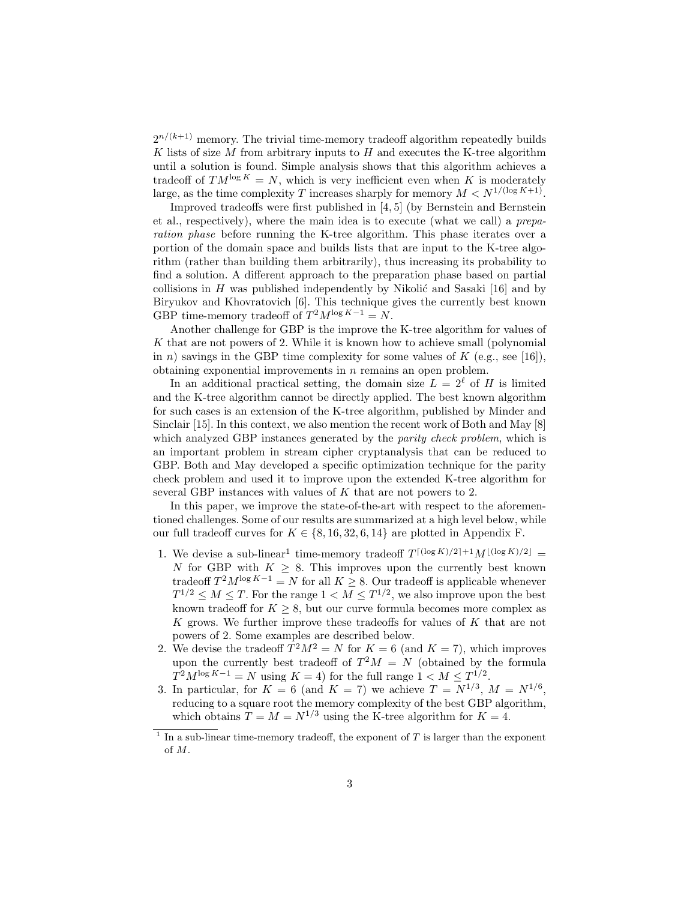$2^{n/(k+1)}$  memory. The trivial time-memory tradeoff algorithm repeatedly builds K lists of size M from arbitrary inputs to  $H$  and executes the K-tree algorithm until a solution is found. Simple analysis shows that this algorithm achieves a tradeoff of  $TM^{\log K} = N$ , which is very inefficient even when K is moderately large, as the time complexity T increases sharply for memory  $M < N^{1/(\log K + 1)}$ .

Improved tradeoffs were first published in [4, 5] (by Bernstein and Bernstein et al., respectively), where the main idea is to execute (what we call) a preparation phase before running the K-tree algorithm. This phase iterates over a portion of the domain space and builds lists that are input to the K-tree algorithm (rather than building them arbitrarily), thus increasing its probability to find a solution. A different approach to the preparation phase based on partial collisions in  $H$  was published independently by Nikolić and Sasaki [16] and by Biryukov and Khovratovich [6]. This technique gives the currently best known GBP time-memory tradeoff of  $T^2M^{\log K-1} = N$ .

Another challenge for GBP is the improve the K-tree algorithm for values of  $K$  that are not powers of 2. While it is known how to achieve small (polynomial in n) savings in the GBP time complexity for some values of  $K$  (e.g., see [16]), obtaining exponential improvements in  $n$  remains an open problem.

In an additional practical setting, the domain size  $L = 2^{\ell}$  of H is limited and the K-tree algorithm cannot be directly applied. The best known algorithm for such cases is an extension of the K-tree algorithm, published by Minder and Sinclair [15]. In this context, we also mention the recent work of Both and May [8] which analyzed GBP instances generated by the *parity check problem*, which is an important problem in stream cipher cryptanalysis that can be reduced to GBP. Both and May developed a specific optimization technique for the parity check problem and used it to improve upon the extended K-tree algorithm for several GBP instances with values of  $K$  that are not powers to 2.

In this paper, we improve the state-of-the-art with respect to the aforementioned challenges. Some of our results are summarized at a high level below, while our full tradeoff curves for  $K \in \{8, 16, 32, 6, 14\}$  are plotted in Appendix F.

- 1. We devise a sub-linear<sup>1</sup> time-memory tradeoff  $T^{[(\log K)/2]+1}M^{[(\log K)/2]}$  = N for GBP with  $K \geq 8$ . This improves upon the currently best known tradeoff  $T^2M^{\log K-1} = N$  for all  $K \geq 8$ . Our tradeoff is applicable whenever  $T^{1/2} \leq M \leq T$ . For the range  $1 < M \leq T^{1/2}$ , we also improve upon the best known tradeoff for  $K \geq 8$ , but our curve formula becomes more complex as K grows. We further improve these tradeoffs for values of  $K$  that are not powers of 2. Some examples are described below.
- 2. We devise the tradeoff  $T^2M^2 = N$  for  $K = 6$  (and  $K = 7$ ), which improves upon the currently best tradeoff of  $T^2M = N$  (obtained by the formula  $T^2M^{\log K-1} = N$  using  $K = 4$ ) for the full range  $1 < M \leq T^{1/2}$ .
- 3. In particular, for  $K = 6$  (and  $K = 7$ ) we achieve  $T = N^{1/3}$ ,  $M = N^{1/6}$ , reducing to a square root the memory complexity of the best GBP algorithm, which obtains  $T = M = N^{1/3}$  using the K-tree algorithm for  $K = 4$ .

<sup>&</sup>lt;sup>1</sup> In a sub-linear time-memory tradeoff, the exponent of  $T$  is larger than the exponent of M.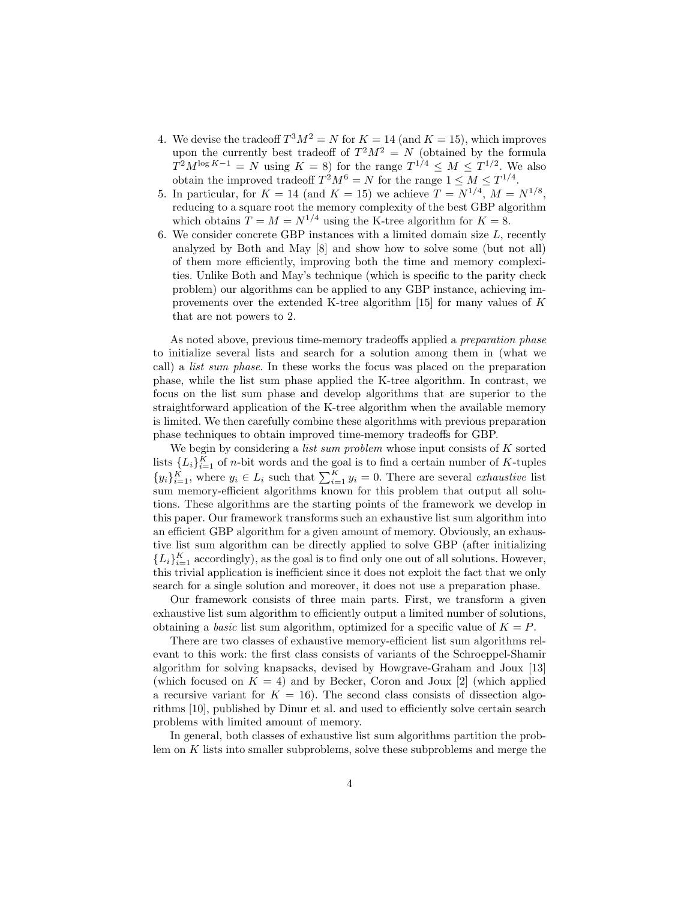- 4. We devise the tradeoff  $T^3M^2 = N$  for  $K = 14$  (and  $K = 15$ ), which improves upon the currently best tradeoff of  $T^2M^2 = N$  (obtained by the formula  $T^2M^{\log K-1} = N$  using  $K = 8$ ) for the range  $T^{1/4} \leq M \leq T^{1/2}$ . We also obtain the improved tradeoff  $T^2M^6 = N$  for the range  $1 \leq M \leq T^{1/4}$ .
- 5. In particular, for  $K = 14$  (and  $K = 15$ ) we achieve  $T = N^{1/4}$ ,  $M = N^{1/8}$ , reducing to a square root the memory complexity of the best GBP algorithm which obtains  $T = M = N^{1/4}$  using the K-tree algorithm for  $K = 8$ .
- 6. We consider concrete GBP instances with a limited domain size  $L$ , recently analyzed by Both and May [8] and show how to solve some (but not all) of them more efficiently, improving both the time and memory complexities. Unlike Both and May's technique (which is specific to the parity check problem) our algorithms can be applied to any GBP instance, achieving improvements over the extended K-tree algorithm [15] for many values of K that are not powers to 2.

As noted above, previous time-memory tradeoffs applied a preparation phase to initialize several lists and search for a solution among them in (what we call) a list sum phase. In these works the focus was placed on the preparation phase, while the list sum phase applied the K-tree algorithm. In contrast, we focus on the list sum phase and develop algorithms that are superior to the straightforward application of the K-tree algorithm when the available memory is limited. We then carefully combine these algorithms with previous preparation phase techniques to obtain improved time-memory tradeoffs for GBP.

We begin by considering a *list sum problem* whose input consists of  $K$  sorted lists  $\{L_i\}_{i=1}^K$  of *n*-bit words and the goal is to find a certain number of K-tuples  ${y_i}_{i=1}^K$ , where  $y_i \in L_i$  such that  $\sum_{i=1}^K y_i = 0$ . There are several exhaustive list sum memory-efficient algorithms known for this problem that output all solutions. These algorithms are the starting points of the framework we develop in this paper. Our framework transforms such an exhaustive list sum algorithm into an efficient GBP algorithm for a given amount of memory. Obviously, an exhaustive list sum algorithm can be directly applied to solve GBP (after initializing  ${L_i}_{i=1}^K$  accordingly), as the goal is to find only one out of all solutions. However, this trivial application is inefficient since it does not exploit the fact that we only search for a single solution and moreover, it does not use a preparation phase.

Our framework consists of three main parts. First, we transform a given exhaustive list sum algorithm to efficiently output a limited number of solutions, obtaining a basic list sum algorithm, optimized for a specific value of  $K = P$ .

There are two classes of exhaustive memory-efficient list sum algorithms relevant to this work: the first class consists of variants of the Schroeppel-Shamir algorithm for solving knapsacks, devised by Howgrave-Graham and Joux [13] (which focused on  $K = 4$ ) and by Becker, Coron and Joux [2] (which applied a recursive variant for  $K = 16$ ). The second class consists of dissection algorithms [10], published by Dinur et al. and used to efficiently solve certain search problems with limited amount of memory.

In general, both classes of exhaustive list sum algorithms partition the problem on K lists into smaller subproblems, solve these subproblems and merge the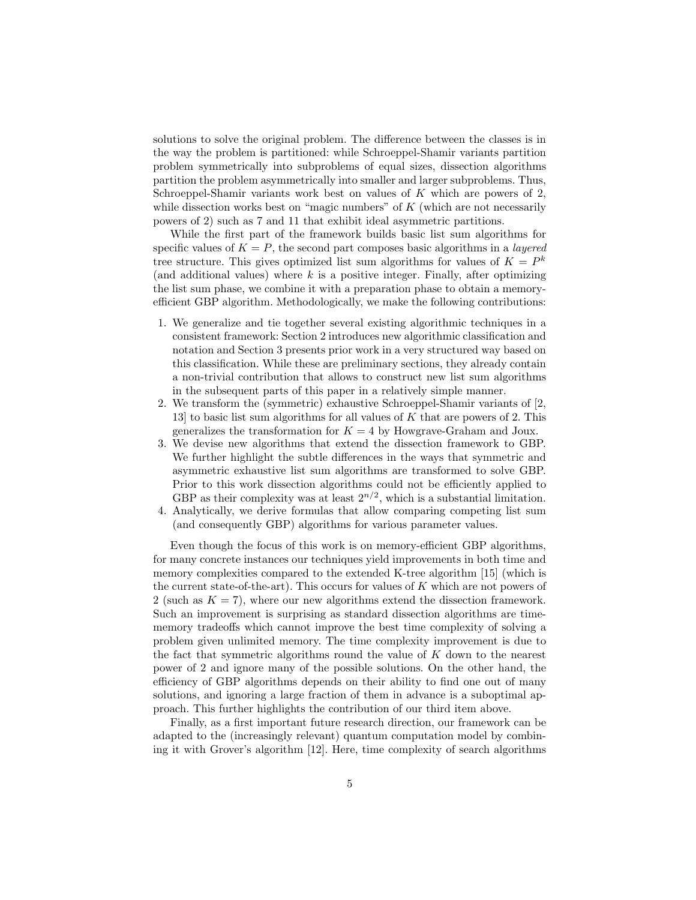solutions to solve the original problem. The difference between the classes is in the way the problem is partitioned: while Schroeppel-Shamir variants partition problem symmetrically into subproblems of equal sizes, dissection algorithms partition the problem asymmetrically into smaller and larger subproblems. Thus, Schroeppel-Shamir variants work best on values of  $K$  which are powers of 2, while dissection works best on "magic numbers" of  $K$  (which are not necessarily powers of 2) such as 7 and 11 that exhibit ideal asymmetric partitions.

While the first part of the framework builds basic list sum algorithms for specific values of  $K = P$ , the second part composes basic algorithms in a *layered* tree structure. This gives optimized list sum algorithms for values of  $K = P^k$ (and additional values) where  $k$  is a positive integer. Finally, after optimizing the list sum phase, we combine it with a preparation phase to obtain a memoryefficient GBP algorithm. Methodologically, we make the following contributions:

- 1. We generalize and tie together several existing algorithmic techniques in a consistent framework: Section 2 introduces new algorithmic classification and notation and Section 3 presents prior work in a very structured way based on this classification. While these are preliminary sections, they already contain a non-trivial contribution that allows to construct new list sum algorithms in the subsequent parts of this paper in a relatively simple manner.
- 2. We transform the (symmetric) exhaustive Schroeppel-Shamir variants of [2, 13] to basic list sum algorithms for all values of  $K$  that are powers of 2. This generalizes the transformation for  $K = 4$  by Howgrave-Graham and Joux.
- 3. We devise new algorithms that extend the dissection framework to GBP. We further highlight the subtle differences in the ways that symmetric and asymmetric exhaustive list sum algorithms are transformed to solve GBP. Prior to this work dissection algorithms could not be efficiently applied to GBP as their complexity was at least  $2^{n/2}$ , which is a substantial limitation.
- 4. Analytically, we derive formulas that allow comparing competing list sum (and consequently GBP) algorithms for various parameter values.

Even though the focus of this work is on memory-efficient GBP algorithms, for many concrete instances our techniques yield improvements in both time and memory complexities compared to the extended K-tree algorithm [15] (which is the current state-of-the-art). This occurs for values of  $K$  which are not powers of 2 (such as  $K = 7$ ), where our new algorithms extend the dissection framework. Such an improvement is surprising as standard dissection algorithms are timememory tradeoffs which cannot improve the best time complexity of solving a problem given unlimited memory. The time complexity improvement is due to the fact that symmetric algorithms round the value of  $K$  down to the nearest power of 2 and ignore many of the possible solutions. On the other hand, the efficiency of GBP algorithms depends on their ability to find one out of many solutions, and ignoring a large fraction of them in advance is a suboptimal approach. This further highlights the contribution of our third item above.

Finally, as a first important future research direction, our framework can be adapted to the (increasingly relevant) quantum computation model by combining it with Grover's algorithm [12]. Here, time complexity of search algorithms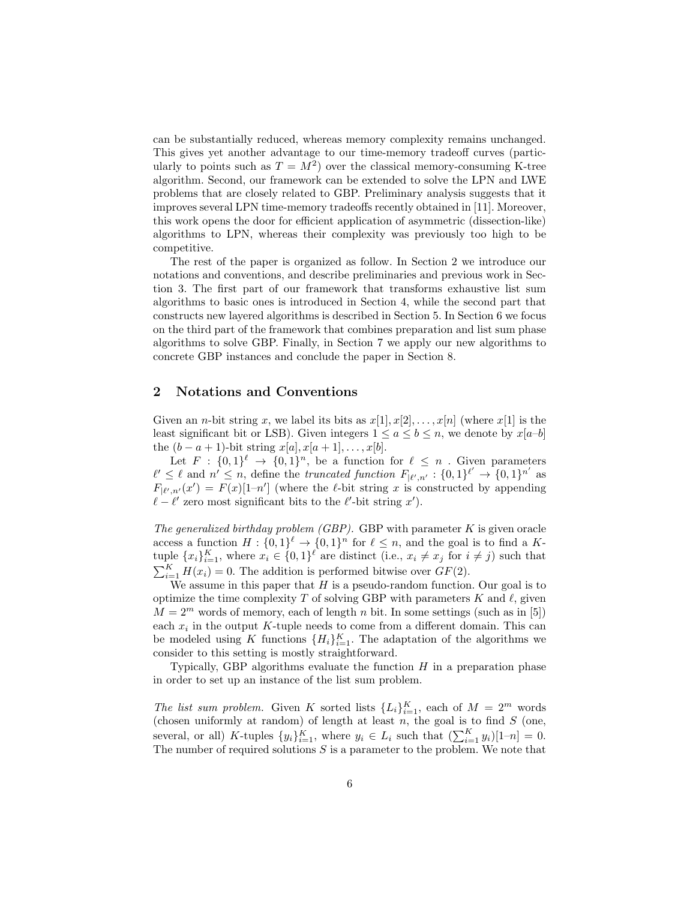can be substantially reduced, whereas memory complexity remains unchanged. This gives yet another advantage to our time-memory tradeoff curves (particularly to points such as  $T = M^2$  over the classical memory-consuming K-tree algorithm. Second, our framework can be extended to solve the LPN and LWE problems that are closely related to GBP. Preliminary analysis suggests that it improves several LPN time-memory tradeoffs recently obtained in [11]. Moreover, this work opens the door for efficient application of asymmetric (dissection-like) algorithms to LPN, whereas their complexity was previously too high to be competitive.

The rest of the paper is organized as follow. In Section 2 we introduce our notations and conventions, and describe preliminaries and previous work in Section 3. The first part of our framework that transforms exhaustive list sum algorithms to basic ones is introduced in Section 4, while the second part that constructs new layered algorithms is described in Section 5. In Section 6 we focus on the third part of the framework that combines preparation and list sum phase algorithms to solve GBP. Finally, in Section 7 we apply our new algorithms to concrete GBP instances and conclude the paper in Section 8.

## 2 Notations and Conventions

Given an *n*-bit string x, we label its bits as  $x[1], x[2], \ldots, x[n]$  (where  $x[1]$  is the least significant bit or LSB). Given integers  $1 \le a \le b \le n$ , we denote by  $x[a-b]$ the  $(b - a + 1)$ -bit string  $x[a], x[a + 1], \ldots, x[b]$ .

Let  $F: \{0,1\}^{\ell} \to \{0,1\}^n$ , be a function for  $\ell \leq n$ . Given parameters  $\ell' \leq \ell$  and  $n' \leq n$ , define the *truncated function*  $F_{\lvert \ell',n'} : \{0,1\}^{\ell'} \to \{0,1\}^{n'}$  as  $F_{\lbrack \ell',n'}(x') = F(x)[1-n']$  (where the  $\ell$ -bit string x is constructed by appending  $\ell - \ell'$  zero most significant bits to the  $\ell'$ -bit string x').

The generalized birthday problem  $(GBP)$ . GBP with parameter  $K$  is given oracle access a function  $H: \{0,1\}^{\ell} \to \{0,1\}^n$  for  $\ell \leq n$ , and the goal is to find a Ktuple  $\{x_i\}_{i=1}^K$ , where  $x_i \in \{0,1\}^{\ell}$  are distinct (i.e.,  $x_i \neq x_j$  for  $i \neq j$ ) such that  $\sum_{i=1}^{K} H(x_i) = 0$ . The addition is performed bitwise over  $GF(2)$ .

We assume in this paper that  $H$  is a pseudo-random function. Our goal is to optimize the time complexity  $T$  of solving GBP with parameters  $K$  and  $\ell$ , given  $M = 2^m$  words of memory, each of length n bit. In some settings (such as in [5]) each  $x_i$  in the output K-tuple needs to come from a different domain. This can be modeled using K functions  $\{H_i\}_{i=1}^K$ . The adaptation of the algorithms we consider to this setting is mostly straightforward.

Typically, GBP algorithms evaluate the function  $H$  in a preparation phase in order to set up an instance of the list sum problem.

The list sum problem. Given K sorted lists  $\{L_i\}_{i=1}^K$ , each of  $M = 2^m$  words (chosen uniformly at random) of length at least  $n$ , the goal is to find  $S$  (one, several, or all) K-tuples  $\{y_i\}_{i=1}^K$ , where  $y_i \in L_i$  such that  $(\sum_{i=1}^K y_i)[1-n] = 0$ . The number of required solutions  $S$  is a parameter to the problem. We note that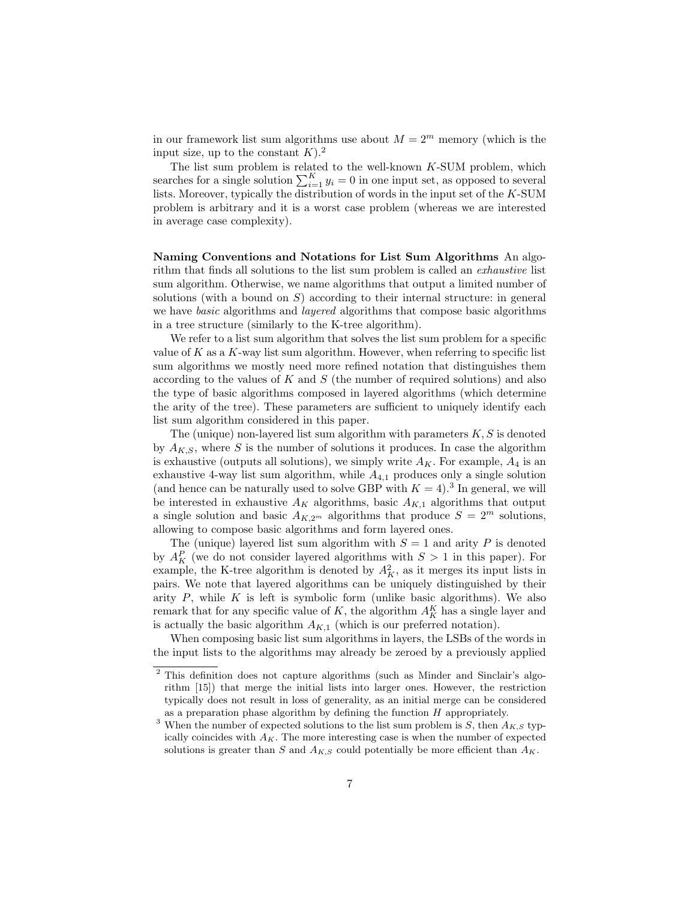in our framework list sum algorithms use about  $M = 2^m$  memory (which is the input size, up to the constant  $K$ ).<sup>2</sup>

The list sum problem is related to the well-known K-SUM problem, which searches for a single solution  $\sum_{i=1}^{K} y_i = 0$  in one input set, as opposed to several lists. Moreover, typically the distribution of words in the input set of the K-SUM problem is arbitrary and it is a worst case problem (whereas we are interested in average case complexity).

Naming Conventions and Notations for List Sum Algorithms An algorithm that finds all solutions to the list sum problem is called an exhaustive list sum algorithm. Otherwise, we name algorithms that output a limited number of solutions (with a bound on  $S$ ) according to their internal structure: in general we have *basic* algorithms and *layered* algorithms that compose basic algorithms in a tree structure (similarly to the K-tree algorithm).

We refer to a list sum algorithm that solves the list sum problem for a specific value of K as a K-way list sum algorithm. However, when referring to specific list sum algorithms we mostly need more refined notation that distinguishes them according to the values of  $K$  and  $S$  (the number of required solutions) and also the type of basic algorithms composed in layered algorithms (which determine the arity of the tree). These parameters are sufficient to uniquely identify each list sum algorithm considered in this paper.

The (unique) non-layered list sum algorithm with parameters  $K, S$  is denoted by  $A_{K,S}$ , where S is the number of solutions it produces. In case the algorithm is exhaustive (outputs all solutions), we simply write  $A_K$ . For example,  $A_4$  is an exhaustive 4-way list sum algorithm, while  $A_{4,1}$  produces only a single solution (and hence can be naturally used to solve GBP with  $K = 4$ ).<sup>3</sup> In general, we will be interested in exhaustive  $A_K$  algorithms, basic  $A_{K,1}$  algorithms that output a single solution and basic  $A_{K,2^m}$  algorithms that produce  $S = 2^m$  solutions, allowing to compose basic algorithms and form layered ones.

The (unique) layered list sum algorithm with  $S = 1$  and arity P is denoted by  $A_K^P$  (we do not consider layered algorithms with  $S > 1$  in this paper). For example, the K-tree algorithm is denoted by  $A_K^2$ , as it merges its input lists in pairs. We note that layered algorithms can be uniquely distinguished by their arity  $P$ , while  $K$  is left is symbolic form (unlike basic algorithms). We also remark that for any specific value of K, the algorithm  $A_K^K$  has a single layer and is actually the basic algorithm  $A_{K,1}$  (which is our preferred notation).

When composing basic list sum algorithms in layers, the LSBs of the words in the input lists to the algorithms may already be zeroed by a previously applied

<sup>2</sup> This definition does not capture algorithms (such as Minder and Sinclair's algorithm [15]) that merge the initial lists into larger ones. However, the restriction typically does not result in loss of generality, as an initial merge can be considered as a preparation phase algorithm by defining the function  $H$  appropriately.

<sup>&</sup>lt;sup>3</sup> When the number of expected solutions to the list sum problem is  $S$ , then  $A_{K,S}$  typically coincides with  $A_K$ . The more interesting case is when the number of expected solutions is greater than S and  $A_{K,S}$  could potentially be more efficient than  $A_K$ .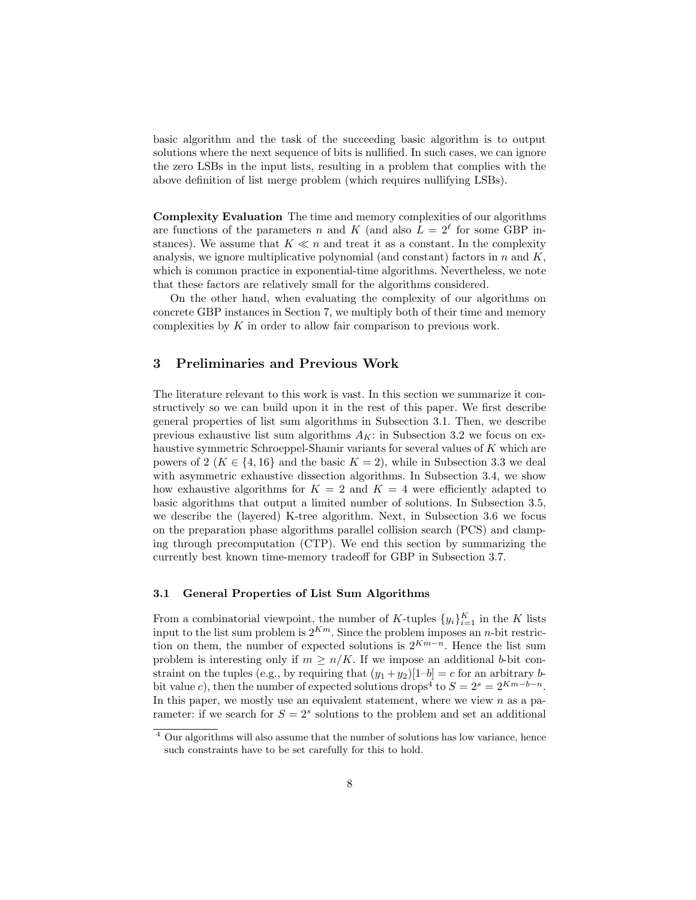basic algorithm and the task of the succeeding basic algorithm is to output solutions where the next sequence of bits is nullified. In such cases, we can ignore the zero LSBs in the input lists, resulting in a problem that complies with the above definition of list merge problem (which requires nullifying LSBs).

Complexity Evaluation The time and memory complexities of our algorithms are functions of the parameters n and K (and also  $L = 2^{\ell}$  for some GBP instances). We assume that  $K \ll n$  and treat it as a constant. In the complexity analysis, we ignore multiplicative polynomial (and constant) factors in  $n$  and  $K$ , which is common practice in exponential-time algorithms. Nevertheless, we note that these factors are relatively small for the algorithms considered.

On the other hand, when evaluating the complexity of our algorithms on concrete GBP instances in Section 7, we multiply both of their time and memory complexities by K in order to allow fair comparison to previous work.

## 3 Preliminaries and Previous Work

The literature relevant to this work is vast. In this section we summarize it constructively so we can build upon it in the rest of this paper. We first describe general properties of list sum algorithms in Subsection 3.1. Then, we describe previous exhaustive list sum algorithms  $A_K$ : in Subsection 3.2 we focus on exhaustive symmetric Schroeppel-Shamir variants for several values of K which are powers of 2 ( $K \in \{4, 16\}$  and the basic  $K = 2$ ), while in Subsection 3.3 we deal with asymmetric exhaustive dissection algorithms. In Subsection 3.4, we show how exhaustive algorithms for  $K = 2$  and  $K = 4$  were efficiently adapted to basic algorithms that output a limited number of solutions. In Subsection 3.5, we describe the (layered) K-tree algorithm. Next, in Subsection 3.6 we focus on the preparation phase algorithms parallel collision search (PCS) and clamping through precomputation (CTP). We end this section by summarizing the currently best known time-memory tradeoff for GBP in Subsection 3.7.

#### 3.1 General Properties of List Sum Algorithms

From a combinatorial viewpoint, the number of K-tuples  $\{y_i\}_{i=1}^K$  in the K lists input to the list sum problem is  $2^{Km}$ . Since the problem imposes an *n*-bit restriction on them, the number of expected solutions is  $2^{Km-n}$ . Hence the list sum problem is interesting only if  $m \geq n/K$ . If we impose an additional b-bit constraint on the tuples (e.g., by requiring that  $(y_1 + y_2)[1-b] = c$  for an arbitrary bbit value c), then the number of expected solutions drops<sup>4</sup> to  $S = 2<sup>s</sup> = 2<sup>K<sub>m</sub>-b-n</sup>$ . In this paper, we mostly use an equivalent statement, where we view  $n$  as a parameter: if we search for  $S = 2<sup>s</sup>$  solutions to the problem and set an additional

<sup>&</sup>lt;sup>4</sup> Our algorithms will also assume that the number of solutions has low variance, hence such constraints have to be set carefully for this to hold.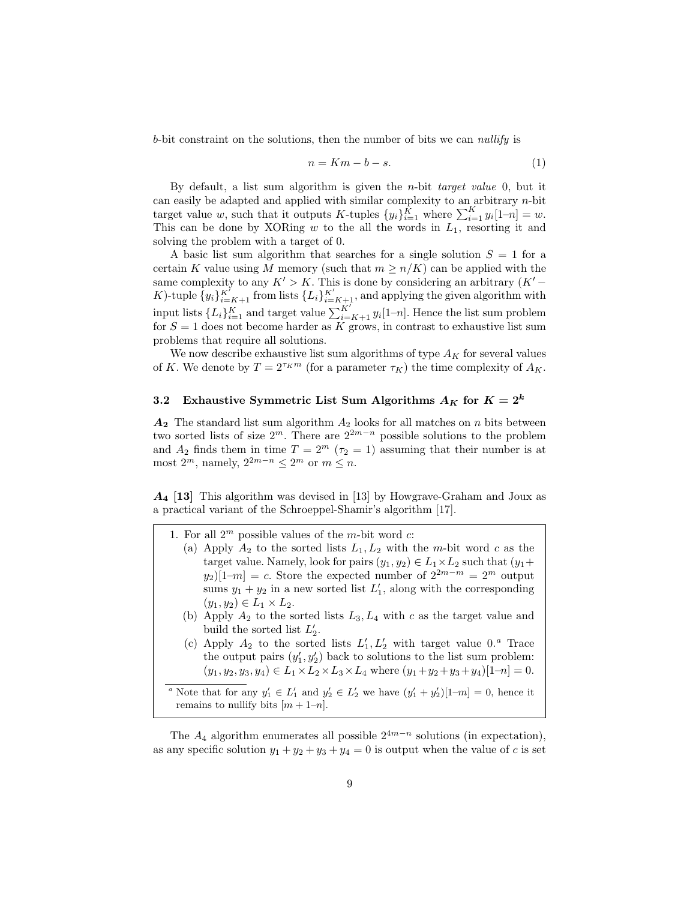b-bit constraint on the solutions, then the number of bits we can nullify is

$$
n = Km - b - s.\tag{1}
$$

By default, a list sum algorithm is given the *n*-bit *target value* 0, but it can easily be adapted and applied with similar complexity to an arbitrary  $n$ -bit target value w, such that it outputs K-tuples  $\{y_i\}_{i=1}^K$  where  $\sum_{i=1}^K y_i[1-n] = w$ . This can be done by XORing  $w$  to the all the words in  $L_1$ , resorting it and solving the problem with a target of 0.

A basic list sum algorithm that searches for a single solution  $S = 1$  for a certain K value using M memory (such that  $m \geq n/K$ ) can be applied with the same complexity to any  $K' > K$ . This is done by considering an arbitrary  $(K' -$ K)-tuple  $\{y_i\}_{i=K+1}^{K'}$  from lists  $\{L_i\}_{i=K+1}^{K'}$ , and applying the given algorithm with input lists  $\{L_i\}_{i=1}^K$  and target value  $\sum_{i=K+1}^{K'} y_i[1-n]$ . Hence the list sum problem for  $S = 1$  does not become harder as K grows, in contrast to exhaustive list sum problems that require all solutions.

We now describe exhaustive list sum algorithms of type  $A_K$  for several values of K. We denote by  $T = 2^{\tau_K m}$  (for a parameter  $\tau_K$ ) the time complexity of  $A_K$ .

## 3.2 Exhaustive Symmetric List Sum Algorithms  $A_K$  for  $K = 2^k$

 $A_2$  The standard list sum algorithm  $A_2$  looks for all matches on n bits between two sorted lists of size  $2^m$ . There are  $2^{2m-n}$  possible solutions to the problem and  $A_2$  finds them in time  $T = 2^m$  ( $\tau_2 = 1$ ) assuming that their number is at most  $2^m$ , namely,  $2^{2m-n} \leq 2^m$  or  $m \leq n$ .

 $A_4$  [13] This algorithm was devised in [13] by Howgrave-Graham and Joux as a practical variant of the Schroeppel-Shamir's algorithm [17].

1. For all  $2^m$  possible values of the *m*-bit word *c*:

- (a) Apply  $A_2$  to the sorted lists  $L_1, L_2$  with the m-bit word c as the target value. Namely, look for pairs  $(y_1, y_2) \in L_1 \times L_2$  such that  $(y_1 +$  $y_2$ [1–m] = c. Store the expected number of  $2^{2m-m} = 2^m$  output sums  $y_1 + y_2$  in a new sorted list  $L'_1$ , along with the corresponding  $(y_1, y_2) \in L_1 \times L_2.$
- (b) Apply  $A_2$  to the sorted lists  $L_3, L_4$  with c as the target value and build the sorted list  $L'_2$ .
- (c) Apply  $A_2$  to the sorted lists  $L'_1, L'_2$  with target value 0.<sup>a</sup> Trace the output pairs  $(y'_1, y'_2)$  back to solutions to the list sum problem:  $(y_1, y_2, y_3, y_4) \in L_1 \times L_2 \times L_3 \times L_4$  where  $(y_1 + y_2 + y_3 + y_4)[1-n] = 0$ .

<sup>*a*</sup> Note that for any  $y'_1 \in L'_1$  and  $y'_2 \in L'_2$  we have  $(y'_1 + y'_2)[1-m] = 0$ , hence it remains to nullify bits  $[m+1-n]$ .

The  $A_4$  algorithm enumerates all possible  $2^{4m-n}$  solutions (in expectation), as any specific solution  $y_1 + y_2 + y_3 + y_4 = 0$  is output when the value of c is set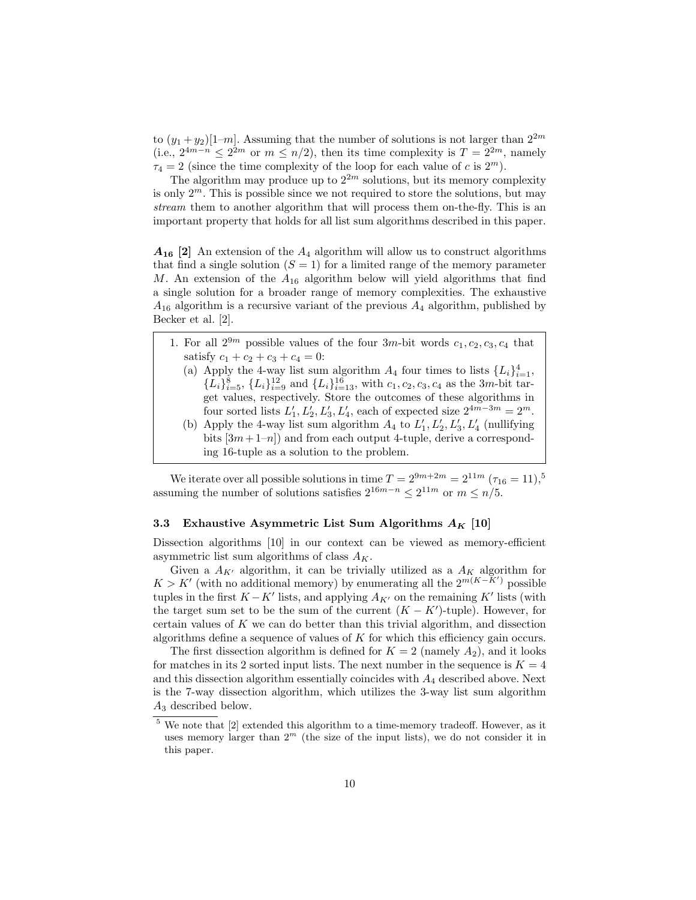to  $(y_1 + y_2)[1-m]$ . Assuming that the number of solutions is not larger than  $2^{2m}$ (i.e.,  $2^{4m-n} \leq 2^{2m}$  or  $m \leq n/2$ ), then its time complexity is  $T = 2^{2m}$ , namely  $\tau_4 = 2$  (since the time complexity of the loop for each value of c is  $2^m$ ).

The algorithm may produce up to  $2^{2m}$  solutions, but its memory complexity is only  $2^m$ . This is possible since we not required to store the solutions, but may stream them to another algorithm that will process them on-the-fly. This is an important property that holds for all list sum algorithms described in this paper.

 $A_{16}$  [2] An extension of the  $A_4$  algorithm will allow us to construct algorithms that find a single solution  $(S = 1)$  for a limited range of the memory parameter M. An extension of the  $A_{16}$  algorithm below will yield algorithms that find a single solution for a broader range of memory complexities. The exhaustive  $A_{16}$  algorithm is a recursive variant of the previous  $A_4$  algorithm, published by Becker et al. [2].

- 1. For all  $2^{9m}$  possible values of the four 3m-bit words  $c_1, c_2, c_3, c_4$  that satisfy  $c_1 + c_2 + c_3 + c_4 = 0$ :
	- (a) Apply the 4-way list sum algorithm  $A_4$  four times to lists  $\{L_i\}_{i=1}^4$ ,  ${L_i}_{i=5}^8$ ,  ${L_i}_{i=9}^{12}$  and  ${L_i}_{i=13}^{16}$ , with  $c_1, c_2, c_3, c_4$  as the 3*m*-bit target values, respectively. Store the outcomes of these algorithms in four sorted lists  $L'_1, L'_2, L'_3, L'_4$ , each of expected size  $2^{4m-3m} = 2^m$ .
	- (b) Apply the 4-way list sum algorithm  $A_4$  to  $L'_1, L'_2, L'_3, L'_4$  (nullifying bits  $[3m+1-n]$  and from each output 4-tuple, derive a corresponding 16-tuple as a solution to the problem.

We iterate over all possible solutions in time  $T = 2^{9m+2m} = 2^{11m} (\tau_{16} = 11)^5$ assuming the number of solutions satisfies  $2^{16m-n} \leq 2^{11m}$  or  $m \leq n/5$ .

### 3.3 Exhaustive Asymmetric List Sum Algorithms  $A_K$  [10]

Dissection algorithms [10] in our context can be viewed as memory-efficient asymmetric list sum algorithms of class  $A_K$ .

Given a  $A_{K'}$  algorithm, it can be trivially utilized as a  $A_K$  algorithm for  $K > K'$  (with no additional memory) by enumerating all the  $2^{m(K - K')}$  possible tuples in the first  $K - K'$  lists, and applying  $A_{K'}$  on the remaining K' lists (with the target sum set to be the sum of the current  $(K - K')$ -tuple). However, for certain values of  $K$  we can do better than this trivial algorithm, and dissection algorithms define a sequence of values of  $K$  for which this efficiency gain occurs.

The first dissection algorithm is defined for  $K = 2$  (namely  $A_2$ ), and it looks for matches in its 2 sorted input lists. The next number in the sequence is  $K = 4$ and this dissection algorithm essentially coincides with  $A_4$  described above. Next is the 7-way dissection algorithm, which utilizes the 3-way list sum algorithm  $A_3$  described below.

<sup>5</sup> We note that [2] extended this algorithm to a time-memory tradeoff. However, as it uses memory larger than  $2^m$  (the size of the input lists), we do not consider it in this paper.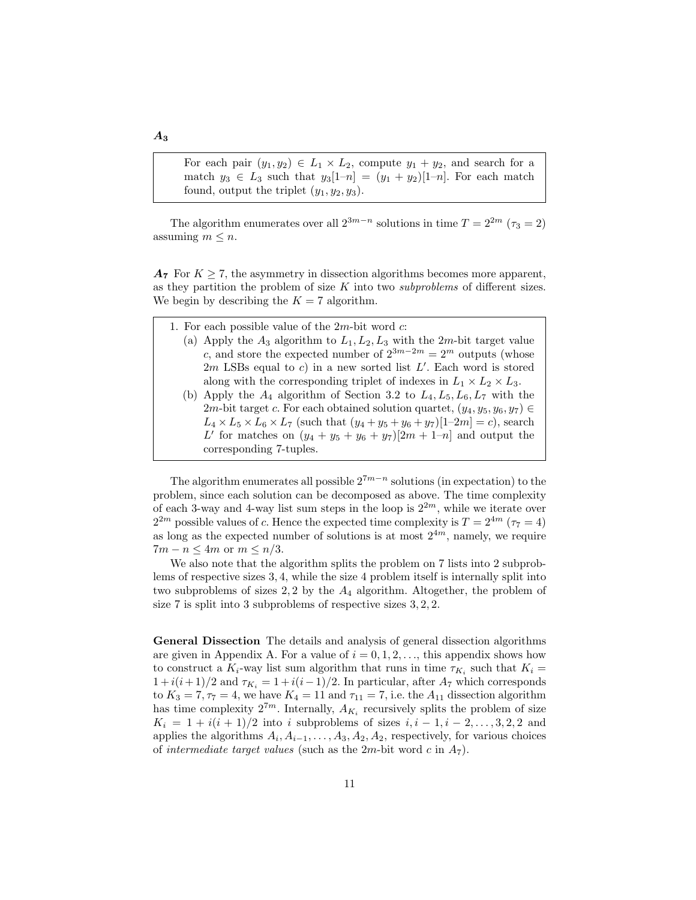For each pair  $(y_1, y_2) \in L_1 \times L_2$ , compute  $y_1 + y_2$ , and search for a match  $y_3 \in L_3$  such that  $y_3[1-n] = (y_1 + y_2)[1-n]$ . For each match found, output the triplet  $(y_1, y_2, y_3)$ .

The algorithm enumerates over all  $2^{3m-n}$  solutions in time  $T = 2^{2m}$  ( $\tau_3 = 2$ ) assuming  $m \leq n$ .

 $A_7$  For  $K \geq 7$ , the asymmetry in dissection algorithms becomes more apparent, as they partition the problem of size  $K$  into two *subproblems* of different sizes. We begin by describing the  $K = 7$  algorithm.

- 1. For each possible value of the  $2m$ -bit word  $c$ :
	- (a) Apply the  $A_3$  algorithm to  $L_1, L_2, L_3$  with the 2m-bit target value c, and store the expected number of  $2^{3m-2m} = 2^m$  outputs (whose  $2m$  LSBs equal to c) in a new sorted list  $L'$ . Each word is stored along with the corresponding triplet of indexes in  $L_1 \times L_2 \times L_3$ .
	- (b) Apply the  $A_4$  algorithm of Section 3.2 to  $L_4, L_5, L_6, L_7$  with the 2m-bit target c. For each obtained solution quartet,  $(y_4, y_5, y_6, y_7) \in$  $L_4 \times L_5 \times L_6 \times L_7$  (such that  $(y_4 + y_5 + y_6 + y_7)[1-2m] = c$ ), search L' for matches on  $(y_4 + y_5 + y_6 + y_7)[2m + 1-n]$  and output the corresponding 7-tuples.

The algorithm enumerates all possible  $2^{7m-n}$  solutions (in expectation) to the problem, since each solution can be decomposed as above. The time complexity of each 3-way and 4-way list sum steps in the loop is  $2^{2m}$ , while we iterate over  $2^{2m}$  possible values of c. Hence the expected time complexity is  $T = 2^{4m} (\tau_7 = 4)$ as long as the expected number of solutions is at most  $2^{4m}$ , namely, we require  $7m - n \leq 4m$  or  $m \leq n/3$ .

We also note that the algorithm splits the problem on 7 lists into 2 subproblems of respective sizes 3, 4, while the size 4 problem itself is internally split into two subproblems of sizes 2, 2 by the  $A_4$  algorithm. Altogether, the problem of size 7 is split into 3 subproblems of respective sizes 3, 2, 2.

General Dissection The details and analysis of general dissection algorithms are given in Appendix A. For a value of  $i = 0, 1, 2, \ldots$ , this appendix shows how to construct a  $K_i$ -way list sum algorithm that runs in time  $\tau_{K_i}$  such that  $K_i =$  $1+i(i+1)/2$  and  $\tau_{K_i} = 1+i(i-1)/2$ . In particular, after  $A_7$  which corresponds to  $K_3 = 7, \tau_7 = 4$ , we have  $K_4 = 11$  and  $\tau_{11} = 7$ , i.e. the  $A_{11}$  dissection algorithm has time complexity  $2^{7m}$ . Internally,  $A_{K_i}$  recursively splits the problem of size  $K_i = 1 + i(i + 1)/2$  into i subproblems of sizes  $i, i - 1, i - 2, ..., 3, 2, 2$  and applies the algorithms  $A_i, A_{i-1}, \ldots, A_3, A_2, A_2$ , respectively, for various choices of intermediate target values (such as the 2m-bit word c in  $A_7$ ).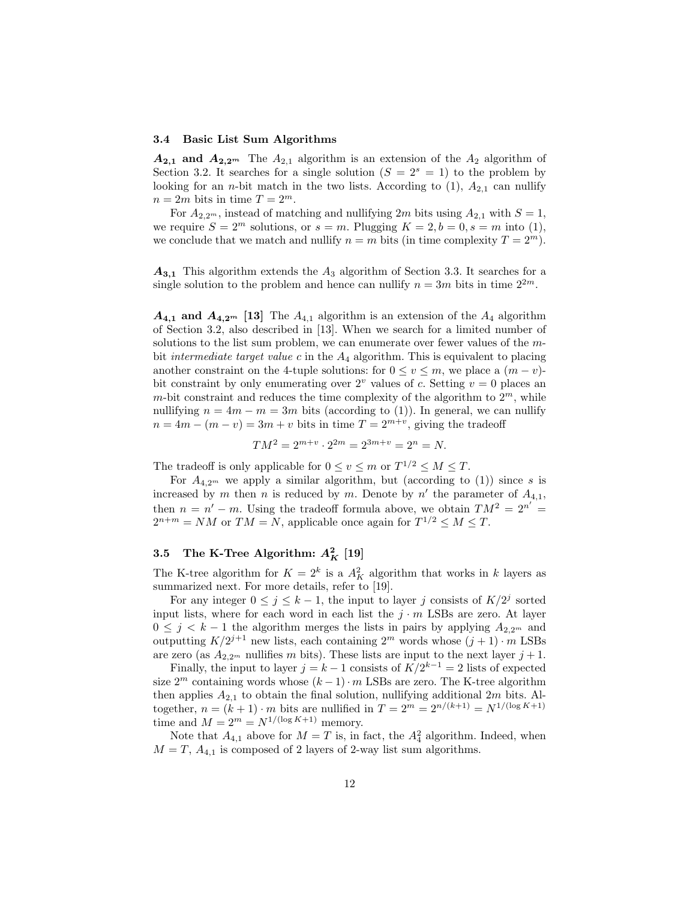#### 3.4 Basic List Sum Algorithms

 $A_{2,1}$  and  $A_{2,2^m}$  The  $A_{2,1}$  algorithm is an extension of the  $A_2$  algorithm of Section 3.2. It searches for a single solution  $(S = 2<sup>s</sup> = 1)$  to the problem by looking for an *n*-bit match in the two lists. According to  $(1)$ ,  $A_{2,1}$  can nullify  $n = 2m$  bits in time  $T = 2^m$ .

For  $A_{2,2^m}$ , instead of matching and nullifying 2m bits using  $A_{2,1}$  with  $S=1$ , we require  $S = 2^m$  solutions, or  $s = m$ . Plugging  $K = 2, b = 0, s = m$  into (1), we conclude that we match and nullify  $n = m$  bits (in time complexity  $T = 2^m$ ).

 $A_{3,1}$  This algorithm extends the  $A_3$  algorithm of Section 3.3. It searches for a single solution to the problem and hence can nullify  $n = 3m$  bits in time  $2^{2m}$ .

 $A_{4,1}$  and  $A_{4,2^m}$  [13] The  $A_{4,1}$  algorithm is an extension of the  $A_4$  algorithm of Section 3.2, also described in [13]. When we search for a limited number of solutions to the list sum problem, we can enumerate over fewer values of the mbit *intermediate target value*  $c$  in the  $A_4$  algorithm. This is equivalent to placing another constraint on the 4-tuple solutions: for  $0 \le v \le m$ , we place a  $(m - v)$ bit constraint by only enumerating over  $2^v$  values of c. Setting  $v = 0$  places an m-bit constraint and reduces the time complexity of the algorithm to  $2^m$ , while nullifying  $n = 4m - m = 3m$  bits (according to (1)). In general, we can nullify  $n = 4m - (m - v) = 3m + v$  bits in time  $T = 2^{m+v}$ , giving the tradeoff

$$
TM^2 = 2^{m+v} \cdot 2^{2m} = 2^{3m+v} = 2^n = N.
$$

The tradeoff is only applicable for  $0 \le v \le m$  or  $T^{1/2} \le M \le T$ .

For  $A_{4,2^m}$  we apply a similar algorithm, but (according to (1)) since s is increased by m then n is reduced by m. Denote by  $n'$  the parameter of  $A_{4,1}$ , then  $n = n' - m$ . Using the tradeoff formula above, we obtain  $TM^2 = 2^{n'} =$  $2^{n+m} = NM$  or  $TM = N$ , applicable once again for  $T^{1/2} \leq M \leq T$ .

## 3.5 The K-Tree Algorithm:  $A_K^2$  [19]

The K-tree algorithm for  $K = 2^k$  is a  $A_K^2$  algorithm that works in k layers as summarized next. For more details, refer to [19].

For any integer  $0 \leq j \leq k-1$ , the input to layer j consists of  $K/2^j$  sorted input lists, where for each word in each list the  $j \cdot m$  LSBs are zero. At layer  $0 \leq j \leq k-1$  the algorithm merges the lists in pairs by applying  $A_{2,2^m}$  and outputting  $K/2^{j+1}$  new lists, each containing  $2^m$  words whose  $(j+1) \cdot m$  LSBs are zero (as  $A_{2,2^m}$  nullifies m bits). These lists are input to the next layer  $j+1$ .

Finally, the input to layer  $j = k - 1$  consists of  $K/2^{k-1} = 2$  lists of expected size  $2^m$  containing words whose  $(k-1) \cdot m$  LSBs are zero. The K-tree algorithm then applies  $A_{2,1}$  to obtain the final solution, nullifying additional  $2m$  bits. Altogether,  $n = (k + 1) \cdot m$  bits are nullified in  $T = 2^m = 2^{n/(k+1)} = N^{1/(\log K + 1)}$ time and  $M = 2^m = N^{1/(\log K + 1)}$  memory.

Note that  $A_{4,1}$  above for  $M=T$  is, in fact, the  $A_4$ <sup>2</sup> algorithm. Indeed, when  $M = T$ ,  $A_{4,1}$  is composed of 2 layers of 2-way list sum algorithms.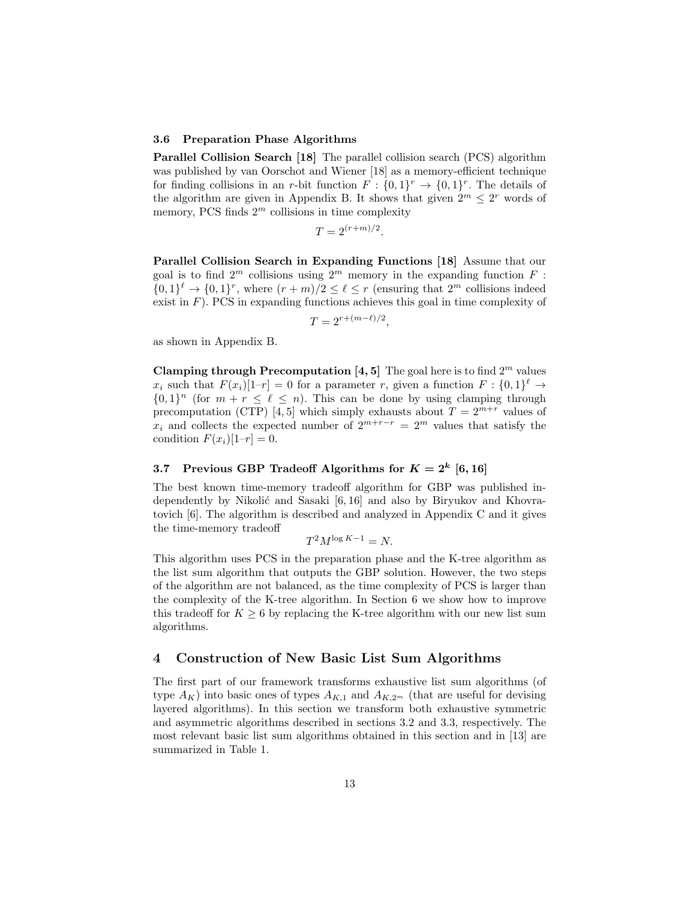#### 3.6 Preparation Phase Algorithms

Parallel Collision Search [18] The parallel collision search (PCS) algorithm was published by van Oorschot and Wiener [18] as a memory-efficient technique for finding collisions in an r-bit function  $F: \{0,1\}^r \to \{0,1\}^r$ . The details of the algorithm are given in Appendix B. It shows that given  $2^m \leq 2^r$  words of memory, PCS finds  $2<sup>m</sup>$  collisions in time complexity

$$
T = 2^{(r+m)/2}.
$$

Parallel Collision Search in Expanding Functions [18] Assume that our goal is to find  $2^m$  collisions using  $2^m$  memory in the expanding function  $F$ :  $\{0,1\}^{\ell} \rightarrow \{0,1\}^r$ , where  $(r+m)/2 \leq \ell \leq r$  (ensuring that  $2^m$  collisions indeed exist in  $F$ ). PCS in expanding functions achieves this goal in time complexity of

 $T = 2^{r + (m-\ell)/2},$ 

as shown in Appendix B.

Clamping through Precomputation [4, 5] The goal here is to find  $2^m$  values  $x_i$  such that  $F(x_i)[1-r] = 0$  for a parameter r, given a function  $F: \{0,1\}^{\ell} \to$  $\{0,1\}^n$  (for  $m + r \leq \ell \leq n$ ). This can be done by using clamping through precomputation (CTP) [4, 5] which simply exhausts about  $T = 2^{m+r}$  values of  $x_i$  and collects the expected number of  $2^{m+r-r} = 2^m$  values that satisfy the condition  $F(x_i)[1-r] = 0$ .

## 3.7 Previous GBP Tradeoff Algorithms for  $K = 2^k$  [6, 16]

The best known time-memory tradeoff algorithm for GBP was published independently by Nikolić and Sasaki [6, 16] and also by Biryukov and Khovratovich [6]. The algorithm is described and analyzed in Appendix C and it gives the time-memory tradeoff

$$
T^2 M^{\log K - 1} = N.
$$

This algorithm uses PCS in the preparation phase and the K-tree algorithm as the list sum algorithm that outputs the GBP solution. However, the two steps of the algorithm are not balanced, as the time complexity of PCS is larger than the complexity of the K-tree algorithm. In Section 6 we show how to improve this tradeoff for  $K \geq 6$  by replacing the K-tree algorithm with our new list sum algorithms.

### 4 Construction of New Basic List Sum Algorithms

The first part of our framework transforms exhaustive list sum algorithms (of type  $A_K$ ) into basic ones of types  $A_{K,1}$  and  $A_{K,2^m}$  (that are useful for devising layered algorithms). In this section we transform both exhaustive symmetric and asymmetric algorithms described in sections 3.2 and 3.3, respectively. The most relevant basic list sum algorithms obtained in this section and in [13] are summarized in Table 1.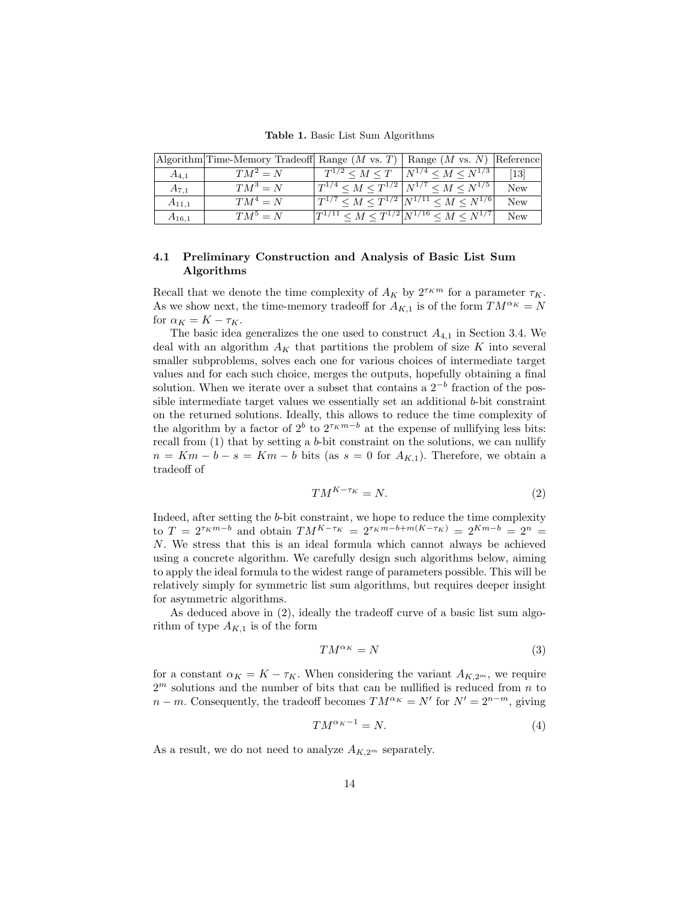Table 1. Basic List Sum Algorithms

|            | Algorithm Time-Memory Tradeoff Range $(M \text{ vs. } T)$ Range $(M \text{ vs. } N)$ Reference |                                                                 |                   |
|------------|------------------------------------------------------------------------------------------------|-----------------------------------------------------------------|-------------------|
| $A_{4,1}$  | $TM^2=N$                                                                                       | $T^{1/2} \leq M \leq T$ $\mid N^{1/4} \leq M \leq N^{1/3} \mid$ | $\left[13\right]$ |
| $A_{7,1}$  | $TM^3=N$                                                                                       | $T^{1/4} < M < T^{1/2}$   $N^{1/7} < M < N^{1/5}$               | New               |
| $A_{11.1}$ | $TM^4=N$                                                                                       | $T^{1/7} < M < T^{1/2}  N^{1/11} < M < N^{1/6} $                | New               |
| $A_{16.1}$ | $TM^5=N$                                                                                       | $ T^{1/11} < M < T^{1/2} N^{1/16} < M < N^{1/7} $               | New               |

### 4.1 Preliminary Construction and Analysis of Basic List Sum Algorithms

Recall that we denote the time complexity of  $A_K$  by  $2^{\tau_K m}$  for a parameter  $\tau_K$ . As we show next, the time-memory tradeoff for  $A_{K,1}$  is of the form  $TM^{\alpha_K} = N$ for  $\alpha_K = K - \tau_K$ .

The basic idea generalizes the one used to construct  $A_{4,1}$  in Section 3.4. We deal with an algorithm  $A_K$  that partitions the problem of size K into several smaller subproblems, solves each one for various choices of intermediate target values and for each such choice, merges the outputs, hopefully obtaining a final solution. When we iterate over a subset that contains a  $2^{-b}$  fraction of the possible intermediate target values we essentially set an additional b-bit constraint on the returned solutions. Ideally, this allows to reduce the time complexity of the algorithm by a factor of  $2^b$  to  $2^{r_K m - b}$  at the expense of nullifying less bits: recall from  $(1)$  that by setting a b-bit constraint on the solutions, we can nullify  $n = Km - b - s = Km - b$  bits (as  $s = 0$  for  $A_{K,1}$ ). Therefore, we obtain a tradeoff of

$$
TM^{K-\tau_K} = N.
$$
\n<sup>(2)</sup>

Indeed, after setting the b-bit constraint, we hope to reduce the time complexity to  $T = 2^{\tau_K m - b}$  and obtain  $TM^{K-\tau_K} = 2^{\tau_K m - b + m(K-\tau_K)} = 2^{Km-b} = 2^n =$ N. We stress that this is an ideal formula which cannot always be achieved using a concrete algorithm. We carefully design such algorithms below, aiming to apply the ideal formula to the widest range of parameters possible. This will be relatively simply for symmetric list sum algorithms, but requires deeper insight for asymmetric algorithms.

As deduced above in (2), ideally the tradeoff curve of a basic list sum algorithm of type  $A_{K,1}$  is of the form

$$
TM^{\alpha_K} = N \tag{3}
$$

for a constant  $\alpha_K = K - \tau_K$ . When considering the variant  $A_{K,2^m}$ , we require  $2<sup>m</sup>$  solutions and the number of bits that can be nullified is reduced from n to  $n - m$ . Consequently, the tradeoff becomes  $TM^{\alpha_K} = N'$  for  $N' = 2^{n-m}$ , giving

$$
TM^{\alpha_K - 1} = N.\t\t(4)
$$

As a result, we do not need to analyze  $A_{K,2^m}$  separately.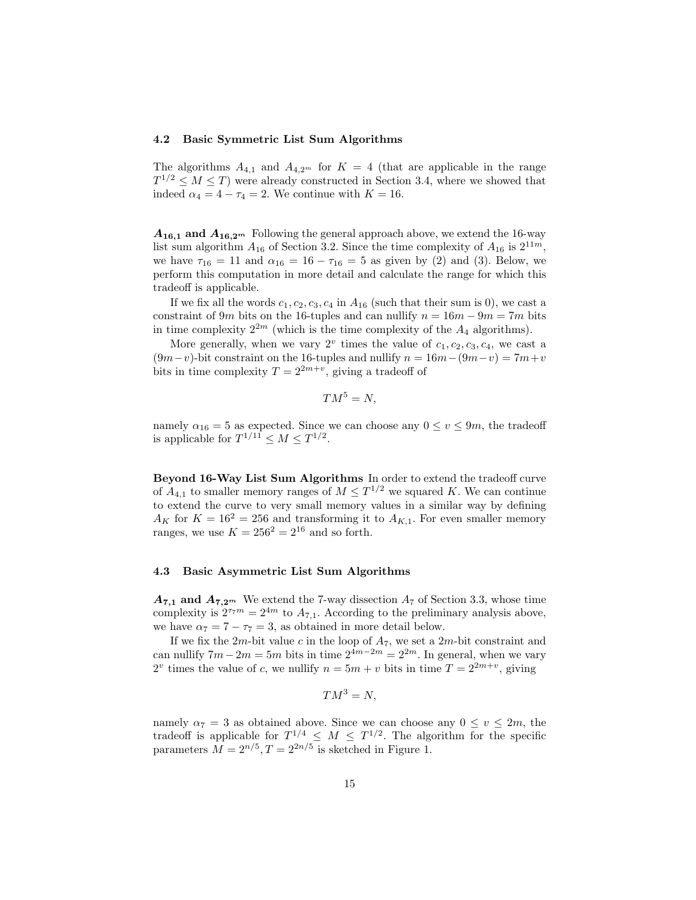#### 4.2 Basic Symmetric List Sum Algorithms

The algorithms  $A_{4,1}$  and  $A_{4,2^m}$  for  $K = 4$  (that are applicable in the range  $T^{1/2} \leq M \leq T$ ) were already constructed in Section 3.4, where we showed that indeed  $\alpha_4 = 4 - \tau_4 = 2$ . We continue with  $K = 16$ .

 $A_{16,1}$  and  $A_{16,2^m}$  Following the general approach above, we extend the 16-way list sum algorithm  $A_{16}$  of Section 3.2. Since the time complexity of  $A_{16}$  is  $2^{11m}$ , we have  $\tau_{16} = 11$  and  $\alpha_{16} = 16 - \tau_{16} = 5$  as given by (2) and (3). Below, we perform this computation in more detail and calculate the range for which this tradeoff is applicable.

If we fix all the words  $c_1, c_2, c_3, c_4$  in  $A_{16}$  (such that their sum is 0), we cast a constraint of 9m bits on the 16-tuples and can nullify  $n = 16m - 9m = 7m$  bits in time complexity  $2^{2m}$  (which is the time complexity of the  $A_4$  algorithms).

More generally, when we vary  $2^v$  times the value of  $c_1, c_2, c_3, c_4$ , we cast a  $(9m-v)$ -bit constraint on the 16-tuples and nullify  $n = 16m-(9m-v) = 7m+v$ bits in time complexity  $T = 2^{2m+v}$ , giving a tradeoff of

$$
TM^5=N,
$$

namely  $\alpha_{16} = 5$  as expected. Since we can choose any  $0 \le v \le 9m$ , the tradeoff is applicable for  $T^{1/11} \leq M \leq T^{1/2}$ .

Beyond 16-Way List Sum Algorithms In order to extend the tradeoff curve of  $A_{4,1}$  to smaller memory ranges of  $M \leq T^{1/2}$  we squared K. We can continue to extend the curve to very small memory values in a similar way by defining  $A_K$  for  $K = 16^2 = 256$  and transforming it to  $A_{K,1}$ . For even smaller memory ranges, we use  $K = 256^2 = 2^{16}$  and so forth.

#### 4.3 Basic Asymmetric List Sum Algorithms

 $A_{7,1}$  and  $A_{7,2^m}$  We extend the 7-way dissection  $A_7$  of Section 3.3, whose time complexity is  $2^{\tau_{7}m} = 2^{4m}$  to  $A_{7,1}$ . According to the preliminary analysis above, we have  $\alpha_7 = 7 - \tau_7 = 3$ , as obtained in more detail below.

If we fix the 2m-bit value c in the loop of  $A_7$ , we set a 2m-bit constraint and can nullify  $7m - 2m = 5m$  bits in time  $2^{4m-2m} = 2^{2m}$ . In general, when we vary  $2^v$  times the value of c, we nullify  $n = 5m + v$  bits in time  $T = 2^{2m+v}$ , giving

$$
TM^3=N,
$$

namely  $\alpha_7 = 3$  as obtained above. Since we can choose any  $0 \le v \le 2m$ , the tradeoff is applicable for  $T^{1/4} \leq M \leq T^{1/2}$ . The algorithm for the specific parameters  $M = 2^{n/5}, T = 2^{2n/5}$  is sketched in Figure 1.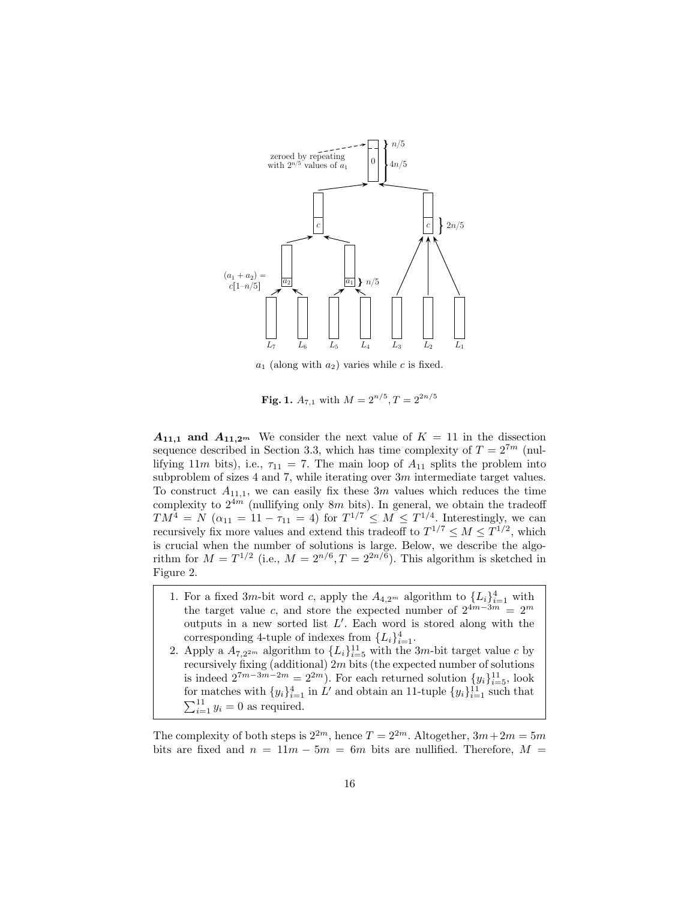

 $a_1$  (along with  $a_2$ ) varies while c is fixed.

**Fig. 1.**  $A_{7,1}$  with  $M = 2^{n/5}, T = 2^{2n/5}$ 

is crucial when the number of solutions is large. Below, we describe the algo- $A_{11,1}$  and  $A_{11,2^m}$  We consider the next value of  $K = 11$  in the dissection sequence described in Section 3.3, which has time complexity of  $T = 2^{7m}$  (nullifying 11m bits), i.e.,  $\tau_{11} = 7$ . The main loop of  $A_{11}$  splits the problem into subproblem of sizes 4 and 7, while iterating over  $3m$  intermediate target values. To construct  $A_{11,1}$ , we can easily fix these 3m values which reduces the time complexity to  $2^{4m}$  (nullifying only 8m bits). In general, we obtain the tradeoff  $TM^4 = N (\alpha_{11} = 11 - \tau_{11} = 4)$  for  $T^{1/7} \leq M \leq T^{1/4}$ . Interestingly, we can recursively fix more values and extend this tradeoff to  $T^{1/7} \leq M \leq T^{1/2}$ , which rithm for  $M = T^{1/2}$  (i.e.,  $M = 2^{n/6}, T = 2^{2n/6}$ ). This algorithm is sketched in Figure 2.

- 1. For a fixed 3m-bit word c, apply the  $A_{4,2^m}$  algorithm to  $\{L_i\}_{i=1}^4$  with the target value c, and store the expected number of  $2^{4m-3m} = 2^m$ outputs in a new sorted list  $L'$ . Each word is stored along with the corresponding 4-tuple of indexes from  $\{L_i\}_{i=1}^4$ .
- 2. Apply a  $A_{7,2^m}$  algorithm to  $\{L_i\}_{i=5}^{11}$  with the 3m-bit target value c by recursively fixing (additional)  $2m$  bits (the expected number of solutions is indeed  $2^{7m-3m-2m} = 2^{2m}$ . For each returned solution  $\{y_i\}_{i=5}^{11}$ , look for matches with  $\{y_i\}_{i=1}^4$  in L' and obtain an 11-tuple  $\{y_i\}_{i=1}^{11}$  such that  $\sum_{i=1}^{11} y_i = 0$  as required.

The complexity of both steps is  $2^{2m}$ , hence  $T = 2^{2m}$ . Altogether,  $3m + 2m = 5m$ bits are fixed and  $n = 11m - 5m = 6m$  bits are nullified. Therefore,  $M =$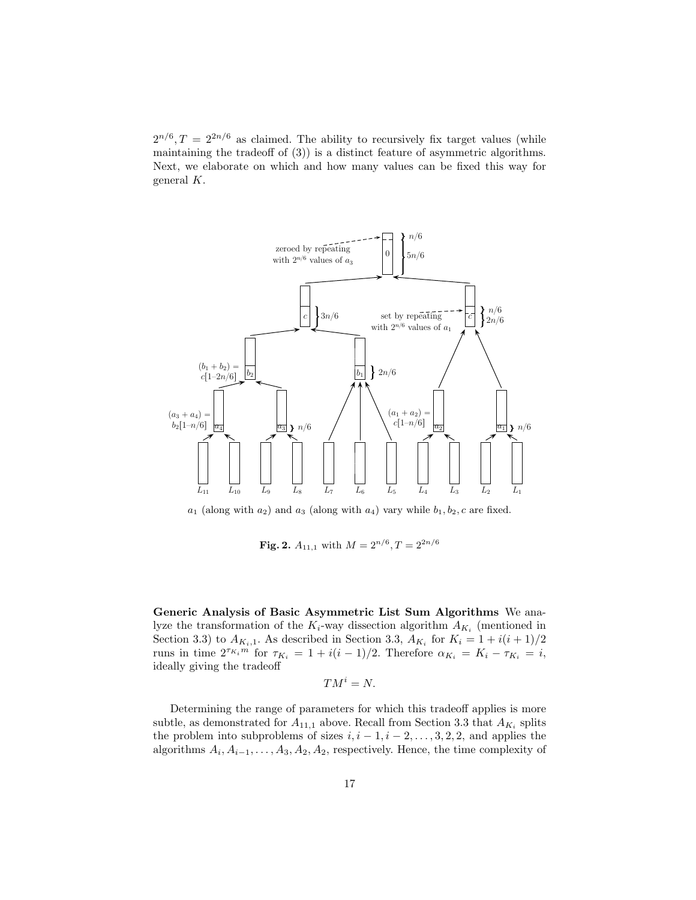$2^{n/6}, T = 2^{2n/6}$  as claimed. The ability to recursively fix target values (while maintaining the tradeoff of (3)) is a distinct feature of asymmetric algorithms. Next, we elaborate on which and how many values can be fixed this way for general K.



 $a_1$  (along with  $a_2$ ) and  $a_3$  (along with  $a_4$ ) vary while  $b_1, b_2, c$  are fixed.

**Fig. 2.**  $A_{11,1}$  with  $M = 2^{n/6}, T = 2^{2n/6}$ 

Section 3.3) to  $A_{K_i,1}$ . As described in Section 3.3,  $A_{K_i}$  for  $K_i = 1 + i(i+1)/2$ Generic Analysis of Basic Asymmetric List Sum Algorithms We analyze the transformation of the  $K_i$ -way dissection algorithm  $A_{K_i}$  (mentioned in runs in time  $2^{\tau_{K_i}m}$  for  $\tau_{K_i} = 1 + i(i-1)/2$ . Therefore  $\alpha_{K_i} = K_i - \tau_{K_i} = i$ , ideally giving the tradeoff

$$
TM^i=N.
$$

Determining the range of parameters for which this tradeoff applies is more subtle, as demonstrated for  $A_{11,1}$  above. Recall from Section 3.3 that  $A_{K_i}$  splits the problem into subproblems of sizes  $i, i - 1, i - 2, \ldots, 3, 2, 2$ , and applies the algorithms  $A_i, A_{i-1}, \ldots, A_3, A_2, A_2$ , respectively. Hence, the time complexity of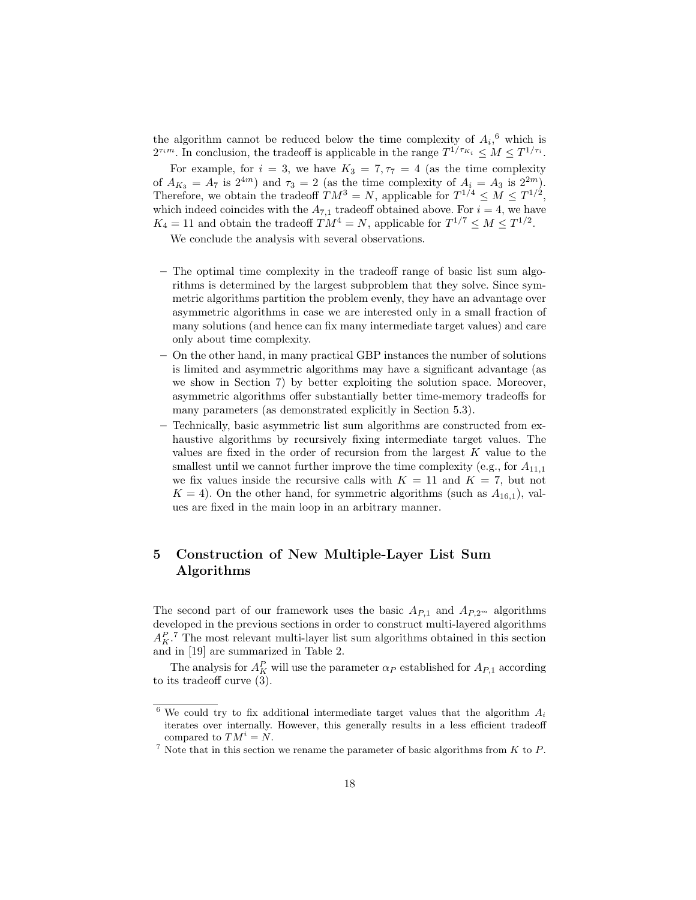the algorithm cannot be reduced below the time complexity of  $A_i$ <sup>6</sup>, which is  $2^{\tau_i m}$ . In conclusion, the tradeoff is applicable in the range  $T^{1/\tau_{K_i}} \leq M \leq T^{1/\tau_i}$ .

For example, for  $i = 3$ , we have  $K_3 = 7, \tau_7 = 4$  (as the time complexity of  $A_{K_3} = A_7$  is  $2^{4m}$ ) and  $\tau_3 = 2$  (as the time complexity of  $A_i = A_3$  is  $2^{2m}$ ). Therefore, we obtain the tradeoff  $TM^3 = N$ , applicable for  $T^{1/4} \leq M \leq T^{1/2}$ , which indeed coincides with the  $A_{7,1}$  tradeoff obtained above. For  $i = 4$ , we have  $K_4 = 11$  and obtain the tradeoff  $TM^4 = N$ , applicable for  $T^{1/7} \leq M \leq T^{1/2}$ .

We conclude the analysis with several observations.

- The optimal time complexity in the tradeoff range of basic list sum algorithms is determined by the largest subproblem that they solve. Since symmetric algorithms partition the problem evenly, they have an advantage over asymmetric algorithms in case we are interested only in a small fraction of many solutions (and hence can fix many intermediate target values) and care only about time complexity.
- On the other hand, in many practical GBP instances the number of solutions is limited and asymmetric algorithms may have a significant advantage (as we show in Section 7) by better exploiting the solution space. Moreover, asymmetric algorithms offer substantially better time-memory tradeoffs for many parameters (as demonstrated explicitly in Section 5.3).
- Technically, basic asymmetric list sum algorithms are constructed from exhaustive algorithms by recursively fixing intermediate target values. The values are fixed in the order of recursion from the largest  $K$  value to the smallest until we cannot further improve the time complexity (e.g., for  $A_{11,1}$ ) we fix values inside the recursive calls with  $K = 11$  and  $K = 7$ , but not  $K = 4$ ). On the other hand, for symmetric algorithms (such as  $A_{16,1}$ ), values are fixed in the main loop in an arbitrary manner.

## 5 Construction of New Multiple-Layer List Sum Algorithms

The second part of our framework uses the basic  $A_{P,1}$  and  $A_{P,2^m}$  algorithms developed in the previous sections in order to construct multi-layered algorithms  $A_K^P$ .<sup>7</sup> The most relevant multi-layer list sum algorithms obtained in this section and in [19] are summarized in Table 2.

The analysis for  $A_K^P$  will use the parameter  $\alpha_P$  established for  $A_{P,1}$  according to its tradeoff curve (3).

<sup>&</sup>lt;sup>6</sup> We could try to fix additional intermediate target values that the algorithm  $A_i$ iterates over internally. However, this generally results in a less efficient tradeoff compared to  $TM^i = N$ .

<sup>&</sup>lt;sup>7</sup> Note that in this section we rename the parameter of basic algorithms from  $K$  to  $P$ .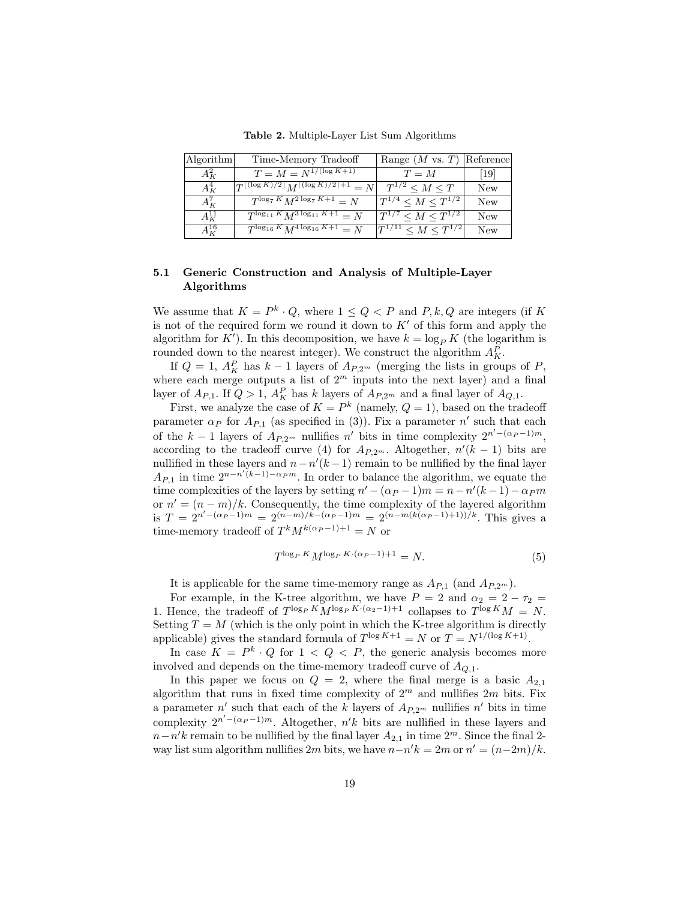Table 2. Multiple-Layer List Sum Algorithms

| Algorithm  | Time-Memory Tradeoff                                                   | Range $(M \text{ vs. } T)$ Reference |     |
|------------|------------------------------------------------------------------------|--------------------------------------|-----|
| $A_K^2$    | $T = M = N^{1/(\log K + 1)}$                                           | $T = M$                              | 19  |
| $A_K^4$    | $ T^{\lfloor (\log K)/2 \rfloor} M^{\lceil (\log K)/2 \rceil + 1} = N$ | $T^{1/2} < M < T$                    | New |
| $A_K^7$    | $T^{\log_7 K} M^{2 \log_7 K + 1} = N$                                  | $T^{1/4} < M < T^{1/2}$              | New |
| $A_K^{11}$ | $T^{\log_{11} K} M^{3 \log_{11} K + 1} = N$                            | $T^{1/7} < M < T^{1/2}$              | New |
| $A^{16}_K$ | $T^{\log_{16} K} M^{4 \log_{16} K + 1} = N$                            | $ T^{1/11} < M < T^{1/2} $           | New |

### 5.1 Generic Construction and Analysis of Multiple-Layer Algorithms

We assume that  $K = P^k \cdot Q$ , where  $1 \le Q < P$  and  $P, k, Q$  are integers (if K is not of the required form we round it down to  $K'$  of this form and apply the algorithm for  $K'$ ). In this decomposition, we have  $k = \log_P K$  (the logarithm is rounded down to the nearest integer). We construct the algorithm  $A_K^P$ .

If  $Q = 1$ ,  $A_K^P$  has  $k-1$  layers of  $A_{P,2^m}$  (merging the lists in groups of  $P$ , where each merge outputs a list of  $2<sup>m</sup>$  inputs into the next layer) and a final layer of  $A_{P,1}$ . If  $Q > 1$ ,  $A_K^P$  has k layers of  $A_{P,2^m}$  and a final layer of  $A_{Q,1}$ .

First, we analyze the case of  $K = P^k$  (namely,  $Q = 1$ ), based on the tradeoff parameter  $\alpha_P$  for  $A_{P,1}$  (as specified in (3)). Fix a parameter n' such that each of the  $k-1$  layers of  $A_{P,2^m}$  nullifies n' bits in time complexity  $2^{n'-(\alpha_P-1)m}$ , according to the tradeoff curve (4) for  $A_{P,2^m}$ . Altogether,  $n'(k-1)$  bits are nullified in these layers and  $n - n'(k-1)$  remain to be nullified by the final layer  $A_{P,1}$  in time  $2^{n-n'(k-1)-\alpha_P m}$ . In order to balance the algorithm, we equate the time complexities of the layers by setting  $n' - (\alpha_P - 1)m = n - n'(k - 1) - \alpha_P m$ or  $n' = (n - m)/k$ . Consequently, the time complexity of the layered algorithm is  $T = 2^{n' - (\alpha_P - 1)m} = 2^{(n-m)/k - (\alpha_P - 1)m} = 2^{(n-m)(k(\alpha_P - 1)+1)/k}$ . This gives a time-memory tradeoff of  $T^k M^{k(\alpha_P - 1)+1} = N$  or

$$
T^{\log_P K} M^{\log_P K \cdot (\alpha_P - 1) + 1} = N.
$$
\n<sup>(5)</sup>

It is applicable for the same time-memory range as  $A_{P,1}$  (and  $A_{P,2^m}$ ).

For example, in the K-tree algorithm, we have  $P = 2$  and  $\alpha_2 = 2 - \tau_2 =$ 1. Hence, the tradeoff of  $T^{\log_{P} K} M^{\log_{P} K \cdot (\alpha_2 - 1) + 1}$  collapses to  $T^{\log K} M = N$ . Setting  $T = M$  (which is the only point in which the K-tree algorithm is directly applicable) gives the standard formula of  $T^{\log K+1} = N$  or  $T = N^{1/(\log K+1)}$ .

In case  $K = P^k \cdot Q$  for  $1 < Q < P$ , the generic analysis becomes more involved and depends on the time-memory tradeoff curve of  $A_{Q,1}$ .

In this paper we focus on  $Q = 2$ , where the final merge is a basic  $A_{2,1}$ algorithm that runs in fixed time complexity of  $2^m$  and nullifies  $2m$  bits. Fix a parameter  $n'$  such that each of the k layers of  $A_{P,2^m}$  nullifies  $n'$  bits in time complexity  $2^{n' - (\alpha_P - 1)m}$ . Altogether, n'k bits are nullified in these layers and  $n-n'k$  remain to be nullified by the final layer  $A_{2,1}$  in time  $2^m$ . Since the final 2way list sum algorithm nullifies 2m bits, we have  $n - n'k = 2m$  or  $n' = (n-2m)/k$ .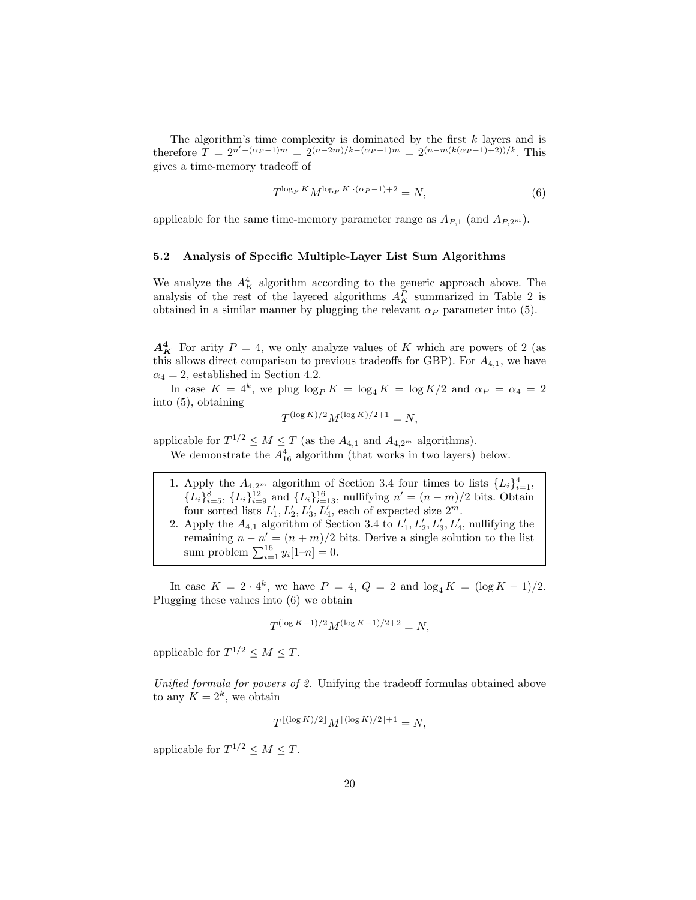The algorithm's time complexity is dominated by the first  $k$  layers and is therefore  $\tilde{T} = 2^{n' - (\alpha_P - 1)m} = 2^{(n-2m)/k - (\alpha_P - 1)m} = 2^{(n-m(k(\alpha_P - 1) + 2))/k}$ . This gives a time-memory tradeoff of

$$
T^{\log_P K} M^{\log_P K \cdot (\alpha_P - 1) + 2} = N,\tag{6}
$$

applicable for the same time-memory parameter range as  $A_{P,1}$  (and  $A_{P,2^m}$ ).

#### 5.2 Analysis of Specific Multiple-Layer List Sum Algorithms

We analyze the  $A_K^4$  algorithm according to the generic approach above. The analysis of the rest of the layered algorithms  $A_K^P$  summarized in Table 2 is obtained in a similar manner by plugging the relevant  $\alpha_P$  parameter into (5).

 $A_K^4$  For arity  $P = 4$ , we only analyze values of K which are powers of 2 (as this allows direct comparison to previous tradeoffs for GBP). For  $A_{4,1}$ , we have  $\alpha_4 = 2$ , established in Section 4.2.

In case  $K = 4^k$ , we plug  $\log_P K = \log_4 K = \log K/2$  and  $\alpha_P = \alpha_4 = 2$ into (5), obtaining

$$
T^{(\log K)/2} M^{(\log K)/2 + 1} = N,
$$

applicable for  $T^{1/2} \leq M \leq T$  (as the  $A_{4,1}$  and  $A_{4,2^m}$  algorithms).

We demonstrate the  $A_{16}^4$  algorithm (that works in two layers) below.

- 1. Apply the  $A_{4,2^m}$  algorithm of Section 3.4 four times to lists  $\{L_i\}_{i=1}^4$ ,  ${L_i}_{i=5}^8$ ,  ${L_i}_{i=9}^{12}$  and  ${L_i}_{i=13}^{16}$ , nullifying  $n' = (n-m)/2$  bits. Obtain four sorted lists  $L'_1, L'_2, L'_3, L'_4$ , each of expected size  $2^m$ .
- 2. Apply the  $A_{4,1}$  algorithm of Section 3.4 to  $L'_1, L'_2, L'_3, L'_4$ , nullifying the remaining  $n - n' = (n + m)/2$  bits. Derive a single solution to the list sum problem  $\sum_{i=1}^{16} y_i[1-n] = 0.$

In case  $K = 2 \cdot 4^k$ , we have  $P = 4$ ,  $Q = 2$  and  $\log_4 K = (\log K - 1)/2$ . Plugging these values into (6) we obtain

$$
T^{(\log K - 1)/2} M^{(\log K - 1)/2 + 2} = N,
$$

applicable for  $T^{1/2} \leq M \leq T$ .

Unified formula for powers of 2. Unifying the tradeoff formulas obtained above to any  $K = 2^k$ , we obtain

$$
T^{\lfloor (\log K)/2 \rfloor} M^{\lceil (\log K)/2 \rceil + 1} = N,
$$

applicable for  $T^{1/2} \leq M \leq T$ .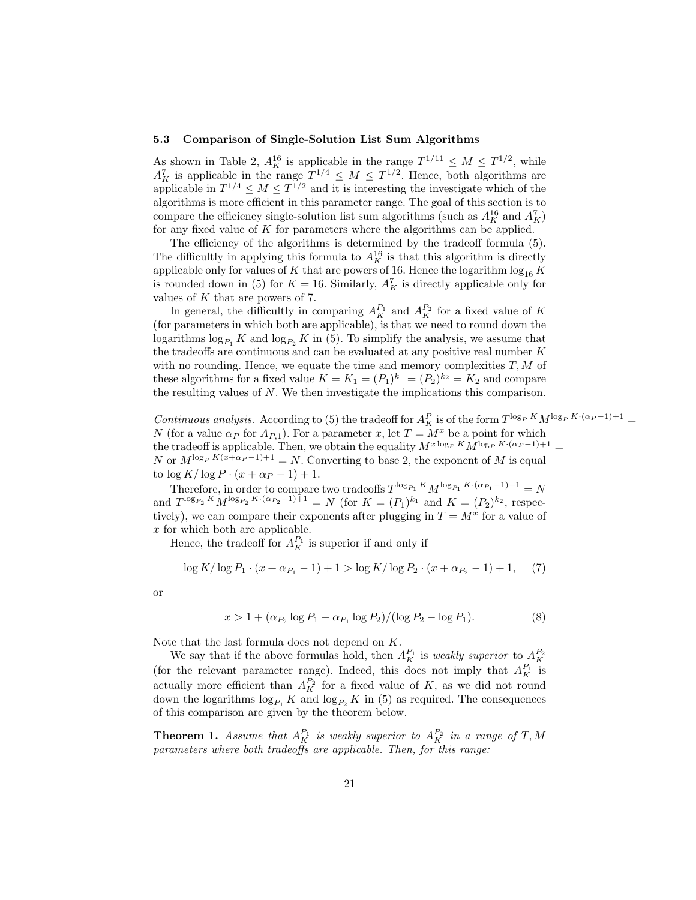#### 5.3 Comparison of Single-Solution List Sum Algorithms

As shown in Table 2,  $A_K^{16}$  is applicable in the range  $T^{1/11} \leq M \leq T^{1/2}$ , while  $A_K^7$  is applicable in the range  $T^{1/4} \leq M \leq T^{1/2}$ . Hence, both algorithms are applicable in  $T^{1/4} \leq M \leq T^{1/2}$  and it is interesting the investigate which of the algorithms is more efficient in this parameter range. The goal of this section is to compare the efficiency single-solution list sum algorithms (such as  $A_K^{16}$  and  $A_K^7$ ) for any fixed value of  $K$  for parameters where the algorithms can be applied.

The efficiency of the algorithms is determined by the tradeoff formula (5). The difficultly in applying this formula to  $A_K^{16}$  is that this algorithm is directly applicable only for values of K that are powers of 16. Hence the logarithm  $\log_{16} K$ is rounded down in (5) for  $K = 16$ . Similarly,  $A_K^7$  is directly applicable only for values of  $K$  that are powers of  $7$ .

In general, the difficultly in comparing  $A_K^{P_1}$  and  $A_K^{P_2}$  for a fixed value of K (for parameters in which both are applicable), is that we need to round down the logarithms  $\log_{P_1} K$  and  $\log_{P_2} K$  in (5). To simplify the analysis, we assume that the tradeoffs are continuous and can be evaluated at any positive real number  $K$ with no rounding. Hence, we equate the time and memory complexities  $T, M$  of these algorithms for a fixed value  $K = K_1 = (P_1)^{k_1} = (P_2)^{k_2} = K_2$  and compare the resulting values of N. We then investigate the implications this comparison.

Continuous analysis. According to (5) the tradeoff for  $A_K^P$  is of the form  $T^{\log_P K}M^{\log_P K \cdot (\alpha_P - 1)+1}$  = N (for a value  $\alpha_P$  for  $A_{P,1}$ ). For a parameter x, let  $T = M^x$  be a point for which the tradeoff is applicable. Then, we obtain the equality  $M^{x \log_{P} K} M^{\log_{P} K \cdot (\alpha_{P} - 1)+1} =$ N or  $M^{\log_{P} K(x+\alpha_{P}-1)+1} = N$ . Converting to base 2, the exponent of M is equal to  $\log K / \log P \cdot (x + \alpha_P - 1) + 1$ .

Therefore, in order to compare two tradeoffs  $T^{\log_{P_1} K} M^{\log_{P_1} K \cdot (\alpha_{P_1}-1)+1} = N$ and  $T^{\log_{P_2} K} M^{\log_{P_2} K \cdot (\alpha_{P_2}-1)+1} = N$  (for  $K = (P_1)^{k_1}$  and  $K = (P_2)^{k_2}$ , respectively), we can compare their exponents after plugging in  $T = M^x$  for a value of x for which both are applicable.

Hence, the tradeoff for  $A_K^{P_1}$  is superior if and only if

$$
\log K / \log P_1 \cdot (x + \alpha_{P_1} - 1) + 1 > \log K / \log P_2 \cdot (x + \alpha_{P_2} - 1) + 1,\tag{7}
$$

or

$$
x > 1 + (\alpha_{P_2} \log P_1 - \alpha_{P_1} \log P_2) / (\log P_2 - \log P_1).
$$
 (8)

Note that the last formula does not depend on K.

We say that if the above formulas hold, then  $A_K^{P_1}$  is *weakly superior* to  $A_K^{P_2}$ (for the relevant parameter range). Indeed, this does not imply that  $A_K^{P_1}$  is actually more efficient than  $A_K^{P_2}$  for a fixed value of K, as we did not round down the logarithms  $\log_{P_1} K$  and  $\log_{P_2} K$  in (5) as required. The consequences of this comparison are given by the theorem below.

**Theorem 1.** Assume that  $A_K^{P_1}$  is weakly superior to  $A_K^{P_2}$  in a range of T, M parameters where both tradeoffs are applicable. Then, for this range: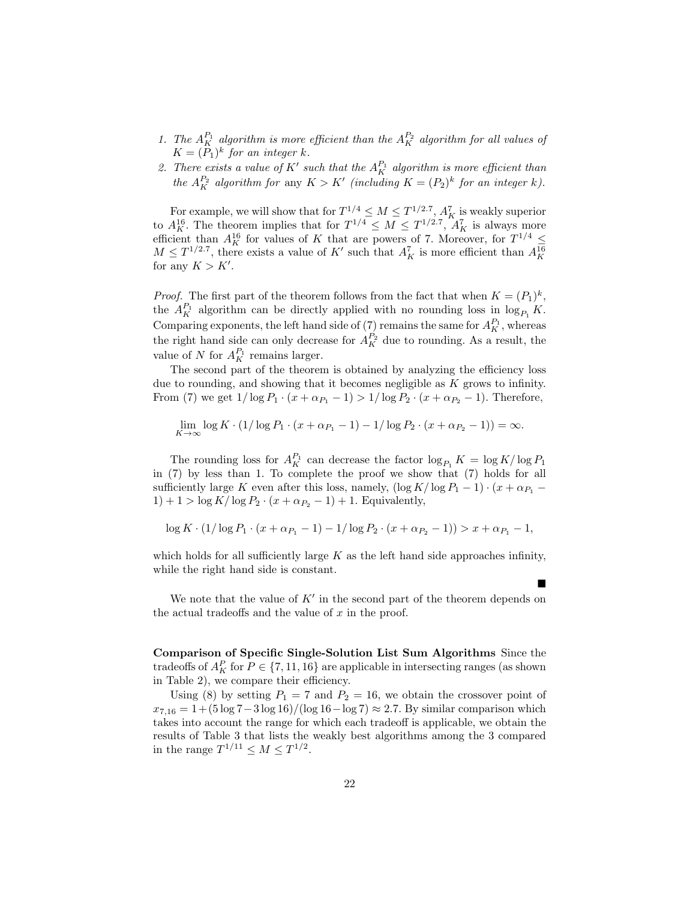- 1. The  $A_K^{P_1}$  algorithm is more efficient than the  $A_K^{P_2}$  algorithm for all values of  $K = (P_1)^k$  for an integer k.
- 2. There exists a value of K' such that the  $A_K^{P_1}$  algorithm is more efficient than the  $A_K^{P_2}$  algorithm for any  $K > K'$  (including  $K = (P_2)^k$  for an integer k).

For example, we will show that for  $T^{1/4} \leq M \leq T^{1/2.7}$ ,  $A_K^7$  is weakly superior to  $A_K^{16}$ . The theorem implies that for  $T^{1/4} \leq M \leq T^{1/2.7}$ ,  $A_K^7$  is always more efficient than  $A_K^{16}$  for values of K that are powers of 7. Moreover, for  $T^{1/4} \leq$  $M \leq T^{1/2.7}$ , there exists a value of K' such that  $A_K^7$  is more efficient than  $A_K^{16}$ for any  $K > K'$ .

*Proof.* The first part of the theorem follows from the fact that when  $K = (P_1)^k$ , the  $A_K^{P_1}$  algorithm can be directly applied with no rounding loss in  $\log_{P_1} K$ . Comparing exponents, the left hand side of  $(7)$  remains the same for  $A_K^{P_1}$ , whereas the right hand side can only decrease for  $A_K^{P_2}$  due to rounding. As a result, the value of N for  $A_K^{P_1}$  remains larger.

The second part of the theorem is obtained by analyzing the efficiency loss due to rounding, and showing that it becomes negligible as  $K$  grows to infinity. From (7) we get  $1/\log P_1 \cdot (x + \alpha_{P_1} - 1) > 1/\log P_2 \cdot (x + \alpha_{P_2} - 1)$ . Therefore,

$$
\lim_{K \to \infty} \log K \cdot (1/\log P_1 \cdot (x + \alpha_{P_1} - 1) - 1/\log P_2 \cdot (x + \alpha_{P_2} - 1)) = \infty.
$$

The rounding loss for  $A_K^{P_1}$  can decrease the factor  $\log_{P_1} K = \log K / \log P_1$ in (7) by less than 1. To complete the proof we show that (7) holds for all sufficiently large K even after this loss, namely,  $(\log K / \log P_1 - 1) \cdot (x + \alpha_{P_1} 1) + 1 > \log K / \log P_2 \cdot (x + \alpha_{P_2} - 1) + 1$ . Equivalently,

$$
\log K \cdot (1/\log P_1 \cdot (x + \alpha_{P_1} - 1) - 1/\log P_2 \cdot (x + \alpha_{P_2} - 1)) > x + \alpha_{P_1} - 1,
$$

which holds for all sufficiently large  $K$  as the left hand side approaches infinity, while the right hand side is constant.

 $\blacksquare$ 

We note that the value of  $K'$  in the second part of the theorem depends on the actual tradeoffs and the value of  $x$  in the proof.

Comparison of Specific Single-Solution List Sum Algorithms Since the tradeoffs of  $A_K^P$  for  $P \in \{7, 11, 16\}$  are applicable in intersecting ranges (as shown in Table 2), we compare their efficiency.

Using (8) by setting  $P_1 = 7$  and  $P_2 = 16$ , we obtain the crossover point of  $x_{7,16} = 1 + (5 \log 7 - 3 \log 16)/(\log 16 - \log 7) \approx 2.7$ . By similar comparison which takes into account the range for which each tradeoff is applicable, we obtain the results of Table 3 that lists the weakly best algorithms among the 3 compared in the range  $T^{1/11} \leq M \leq T^{1/2}$ .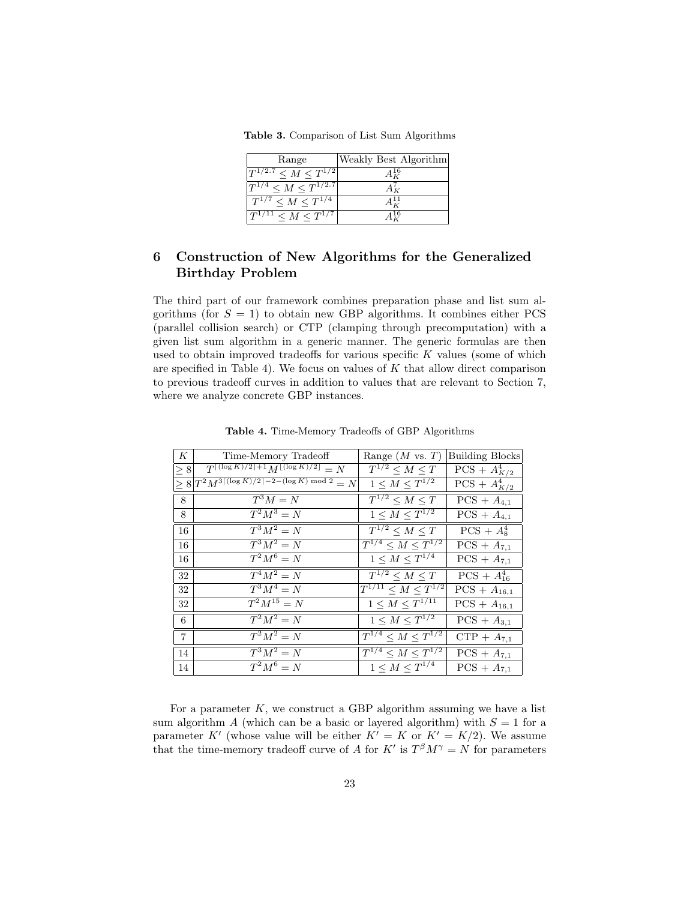Table 3. Comparison of List Sum Algorithms

| Range                           | Weakly Best Algorithm |
|---------------------------------|-----------------------|
| $T^{1/2.7} < M < T^{1/2}$       | $A^{16}_{\nu}$        |
| $T^{1/4} \leq M \leq T^{1/2.7}$ |                       |
| $\boxed{T^{1/7} < M < T^{1/4}}$ |                       |
| $ T^{1/11} < M < T^{1/7} $      |                       |

## 6 Construction of New Algorithms for the Generalized Birthday Problem

The third part of our framework combines preparation phase and list sum algorithms (for  $S = 1$ ) to obtain new GBP algorithms. It combines either PCS (parallel collision search) or CTP (clamping through precomputation) with a given list sum algorithm in a generic manner. The generic formulas are then used to obtain improved tradeoffs for various specific  $K$  values (some of which are specified in Table 4). We focus on values of  $K$  that allow direct comparison to previous tradeoff curves in addition to values that are relevant to Section 7, where we analyze concrete GBP instances.

| $K_{\parallel}$ | Time-Memory Tradeoff                                                            | Range $(M \text{ vs. } T)$         | <b>Building Blocks</b>       |
|-----------------|---------------------------------------------------------------------------------|------------------------------------|------------------------------|
| $\geq 8$        | $T^{[(\log K)/2]+1}M^{\lfloor (\log K)/2 \rfloor} = N$                          | $\overline{T^{1/2}}\leq M\leq T$   | $PCS + A_{K/2}^4$            |
|                 | $\geq 8 \sqrt{T^2 M^{3 \lceil (\log K)/2 \rceil - 2 - (\log K) \bmod 2 } } = N$ | $1 \leq M \leq T^{1/2}$            | $\overline{PCS} + A_{K/2}^4$ |
| 8               | $\overline{T^3}M=N$                                                             | $\overline{T^{1/2} \leq M} \leq T$ | $PCS + A_{4,1}$              |
| 8               | $T^2M^3=N$                                                                      | $1 \leq M \leq T^{1/2}$            | $PCS + A_{4,1}$              |
| 16              | $T^3M^2=N$                                                                      | $\overline{T^{1/2} < M} \leq T$    | $PCS + A_8^4$                |
| 16              | $T^3M^2=N$                                                                      | $T^{1/4} \leq M \leq T^{1/2}$      | $PCS + A_{7,1}$              |
| 16              | $T^2M^6=N$                                                                      | $1 \leq M \leq T^{1/4}$            | $PCS + A_{7,1}$              |
| 32              | $T^4M^2=N$                                                                      | $T^{1/2} \leq M \leq T$            | $PCS + A_{16}^4$             |
| 32              | $T^3M^4=N$                                                                      | $T^{1/11} \leq M \leq T^{1/2}$     | $PCS + A_{16,1}$             |
| 32              | $T^2M^{15}=N$                                                                   | $1 \leq M \leq T^{1/11}$           | $PCS + A_{16,1}$             |
| 6               | $T^2M^2=N$                                                                      | $1 \leq M \leq T^{1/2}$            | $PCS + A_{3,1}$              |
| $\overline{7}$  | $T^2M^2=N$                                                                      | $T^{1/4} < M < T^{1/2}$            | $CTP + A_{7,1}$              |
| 14              | $T^3M^2=N$                                                                      | $T^{1/4} \leq M \leq T^{1/2}$      | $PCS + A_{7,1}$              |
| 14              | $T^2M^6=N$                                                                      | $1 \leq M \leq T^{1/4}$            | $PCS + A_{7,1}$              |

Table 4. Time-Memory Tradeoffs of GBP Algorithms

For a parameter  $K$ , we construct a GBP algorithm assuming we have a list sum algorithm A (which can be a basic or layered algorithm) with  $S = 1$  for a parameter K' (whose value will be either  $K' = K$  or  $K' = K/2$ ). We assume that the time-memory tradeoff curve of A for  $K'$  is  $T^{\beta}M^{\gamma} = N$  for parameters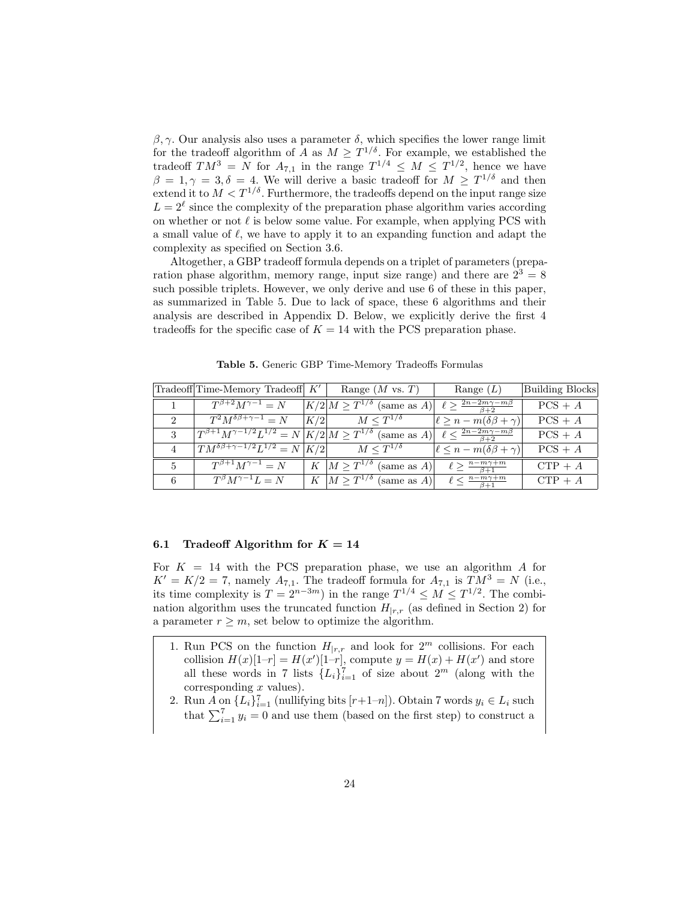$β, γ$ . Our analysis also uses a parameter  $δ$ , which specifies the lower range limit for the tradeoff algorithm of A as  $M \geq T^{1/\delta}$ . For example, we established the tradeoff  $TM^3 = N$  for  $A_{7,1}$  in the range  $T^{1/4} \leq M \leq T^{1/2}$ , hence we have  $\beta = 1, \gamma = 3, \delta = 4$ . We will derive a basic tradeoff for  $M \geq T^{1/\delta}$  and then extend it to  $M < T^{1/\delta}$ . Furthermore, the tradeoffs depend on the input range size  $L = 2^{\ell}$  since the complexity of the preparation phase algorithm varies according on whether or not  $\ell$  is below some value. For example, when applying PCS with a small value of  $\ell$ , we have to apply it to an expanding function and adapt the complexity as specified on Section 3.6.

Altogether, a GBP tradeoff formula depends on a triplet of parameters (preparation phase algorithm, memory range, input size range) and there are  $2^3 = 8$ such possible triplets. However, we only derive and use 6 of these in this paper, as summarized in Table 5. Due to lack of space, these 6 algorithms and their analysis are described in Appendix D. Below, we explicitly derive the first 4 tradeoffs for the specific case of  $K = 14$  with the PCS preparation phase.

|               | Tradeoff Time-Memory Tradeoff K'                                                                                          |     | Range $(M \text{ vs. } T)$                          | Range $(L)$                             | Building Blocks |
|---------------|---------------------------------------------------------------------------------------------------------------------------|-----|-----------------------------------------------------|-----------------------------------------|-----------------|
|               | $T^{\beta+2}M^{\gamma-1}=N$                                                                                               |     | $K/2 M \geq T^{1/\delta}$ (same as A)               | $2n-2m\gamma-m\beta$<br>$\ell > 1$      | $PCS + A$       |
| $\mathcal{D}$ | $T^2M^{\delta\beta+\gamma-1}=N$                                                                                           | K/2 | $M \leq T^{1/\delta}$                               | $\ell \geq n-m(\delta\beta+\gamma)$     | $PCS + A$       |
| 3             | $T^{\beta+1}M^{\gamma-1/2}L^{1/2} = N K/2 M \geq T^{1/\delta}$ (same as A) $\ell \leq \frac{2n-2m\gamma-m\beta}{\beta+2}$ |     |                                                     |                                         | $PCS + A$       |
|               | $TM^{\delta\beta+\gamma-1/2}L^{1/2} = N K/2 $                                                                             |     | $M \leq T^{1/\delta}$                               | $\ell \leq n-m(\delta\beta+\gamma)$     | $PCS + A$       |
| 5             | $T^{\beta+1}M^{\gamma-1}=N$                                                                                               |     | $\overline{K}$ $ M \geq T^{1/\delta}$ (same as A)   | $\ell \geq \frac{n-m\gamma+m}{\beta+1}$ | $CTP + A$       |
| 6             | $T^{\beta}M^{\gamma-1}L=N$                                                                                                |     | $\overline{K \mid M} \geq T^{1/\delta}$ (same as A) | $\ell \leq \frac{n-m\gamma+m}{\beta+1}$ | $CTP + A$       |

Table 5. Generic GBP Time-Memory Tradeoffs Formulas

#### 6.1 Tradeoff Algorithm for  $K = 14$

For  $K = 14$  with the PCS preparation phase, we use an algorithm A for  $K' = K/2 = 7$ , namely  $A_{7,1}$ . The tradeoff formula for  $A_{7,1}$  is  $TM^3 = N$  (i.e., its time complexity is  $T = 2^{n-3m}$ ) in the range  $T^{1/4} \leq M \leq T^{1/2}$ . The combination algorithm uses the truncated function  $H_{|r,r}$  (as defined in Section 2) for a parameter  $r \geq m$ , set below to optimize the algorithm.

- 1. Run PCS on the function  $H_{|r,r}$  and look for  $2^m$  collisions. For each collision  $H(x)[1-r] = H(x')[1-r]$ , compute  $y = H(x) + H(x')$  and store all these words in 7 lists  $\{L_i\}_{i=1}^7$  of size about  $2^m$  (along with the  $corresponding x values).$
- 2. Run A on  $\{L_i\}_{i=1}^7$  (nullifying bits  $[r+1-n]$ ). Obtain 7 words  $y_i \in L_i$  such that  $\sum_{i=1}^{7} y_i = 0$  and use them (based on the first step) to construct a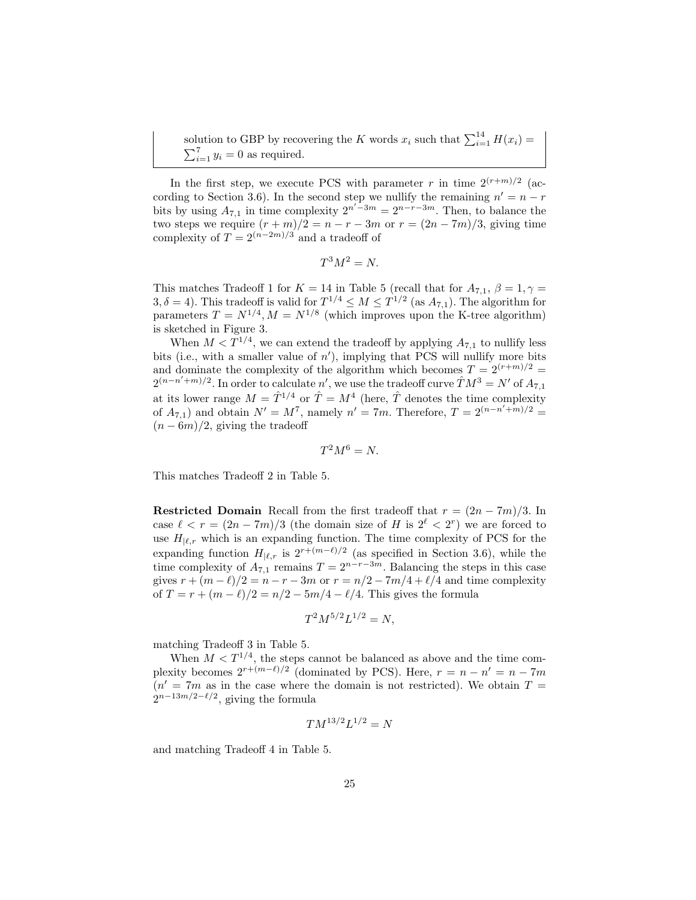solution to GBP by recovering the K words  $x_i$  such that  $\sum_{i=1}^{14} H(x_i) =$  $\sum_{i=1}^{7} y_i = 0$  as required.

In the first step, we execute PCS with parameter r in time  $2^{(r+m)/2}$  (according to Section 3.6). In the second step we nullify the remaining  $n' = n - r$ bits by using  $A_{7,1}$  in time complexity  $2^{n^{\prime}-3m} = 2^{n-r-3m}$ . Then, to balance the two steps we require  $(r + m)/2 = n - r - 3m$  or  $r = (2n - 7m)/3$ , giving time complexity of  $T = 2^{(n-2m)/3}$  and a tradeoff of

$$
T^3M^2=N.
$$

This matches Tradeoff 1 for  $K = 14$  in Table 5 (recall that for  $A_{7,1}$ ,  $\beta = 1, \gamma =$  $3, \delta = 4$ ). This tradeoff is valid for  $T^{1/4} \leq M \leq T^{1/2}$  (as  $A_{7,1}$ ). The algorithm for parameters  $T = N^{1/4}, M = N^{1/8}$  (which improves upon the K-tree algorithm) is sketched in Figure 3.

When  $M < T^{1/4}$ , we can extend the tradeoff by applying  $A_{7,1}$  to nullify less bits (i.e., with a smaller value of  $n'$ ), implying that PCS will nullify more bits and dominate the complexity of the algorithm which becomes  $T = 2^{(r+m)/2}$  $2^{(n-n'+m)/2}$ . In order to calculate n', we use the tradeoff curve  $\hat{T}M^3 = N'$  of  $A_{7,1}$ at its lower range  $M = \hat{T}^{1/4}$  or  $\hat{T} = M^4$  (here,  $\hat{T}$  denotes the time complexity of  $A_{7,1}$ ) and obtain  $N' = M^7$ , namely  $n' = 7m$ . Therefore,  $T = 2^{(n-n'+m)/2}$  $(n - 6m)/2$ , giving the tradeoff

$$
T^2M^6=N.
$$

This matches Tradeoff 2 in Table 5.

Restricted Domain Recall from the first tradeoff that  $r = (2n - 7m)/3$ . In case  $\ell \leq r = (2n - 7m)/3$  (the domain size of H is  $2^{\ell} \leq 2^r$ ) we are forced to use  $H|_{\ell,r}$  which is an expanding function. The time complexity of PCS for the expanding function  $H_{\lvert \ell,r}$  is  $2^{r+(m-\ell)/2}$  (as specified in Section 3.6), while the time complexity of  $A_{7,1}$  remains  $T = 2^{n-r-3m}$ . Balancing the steps in this case gives  $r + (m - \ell)/2 = n - r - 3m$  or  $r = n/2 - 7m/4 + \ell/4$  and time complexity of  $T = r + (m - \ell)/2 = n/2 - 5m/4 - \ell/4$ . This gives the formula

$$
T^2 M^{5/2} L^{1/2} = N,
$$

matching Tradeoff 3 in Table 5.

When  $M < T^{1/4}$ , the steps cannot be balanced as above and the time complexity becomes  $2^{r+(m-\ell)/2}$  (dominated by PCS). Here,  $r = n - n' = n - 7m$  $(n' = 7m$  as in the case where the domain is not restricted). We obtain  $T =$  $2^{n-13m/2-\ell/2}$ , giving the formula

$$
TM^{13/2}L^{1/2} = N
$$

and matching Tradeoff 4 in Table 5.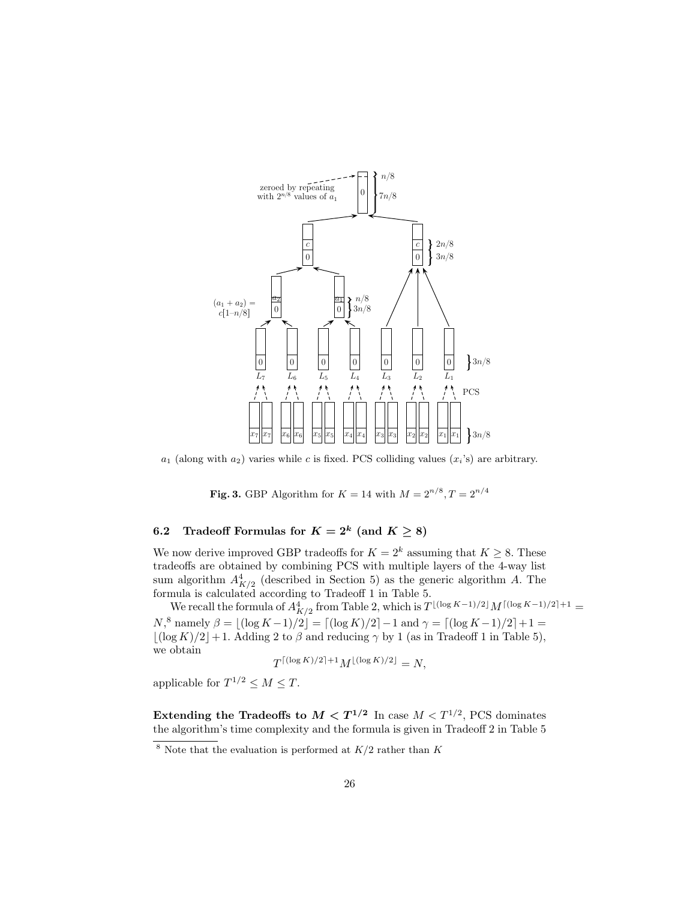

 $a_1$  (along with  $a_2$ ) varies while c is fixed. PCS colliding values  $(x_i)$  are arbitrary.

**Fig. 3.** GBP Algorithm for  $K = 14$  with  $M = 2^{n/8}, T = 2^{n/4}$ 

## 6.2 Tradeoff Formulas for  $K = 2^k$  (and  $K \geq 8$ )

sum algorithm  $A_{K/2}^4$  (described in Section 5) as the generic algorithm A. The We now derive improved GBP tradeoffs for  $K = 2^k$  assuming that  $K \geq 8$ . These tradeoffs are obtained by combining PCS with multiple layers of the 4-way list formula is calculated according to Tradeoff 1 in Table 5.

We recall the formula of  $A_{K/2}^4$  from Table 2, which is  $T^{\lfloor (\log K-1)/2 \rfloor} M^{\lceil (\log K-1)/2 \rceil+1}$  $N,$ <sup>8</sup> namely  $\beta = \lfloor (\log K - 1)/2 \rfloor = \lceil (\log K)/2 \rceil - 1$  and  $\gamma = \lceil (\log K - 1)/2 \rceil + 1 =$  $\lfloor (\log K)/2 \rfloor + 1$ . Adding 2 to  $\beta$  and reducing  $\gamma$  by 1 (as in Tradeoff 1 in Table 5), we obtain

$$
T^{\lceil (\log K)/2 \rceil + 1} M^{\lfloor (\log K)/2 \rfloor} = N,
$$

applicable for  $T^{1/2} \leq M \leq T$ .

Extending the Tradeoffs to  $M < T^{1/2}$  In case  $M < T^{1/2}$ , PCS dominates the algorithm's time complexity and the formula is given in Tradeoff 2 in Table 5

 $8$  Note that the evaluation is performed at  $K/2$  rather than K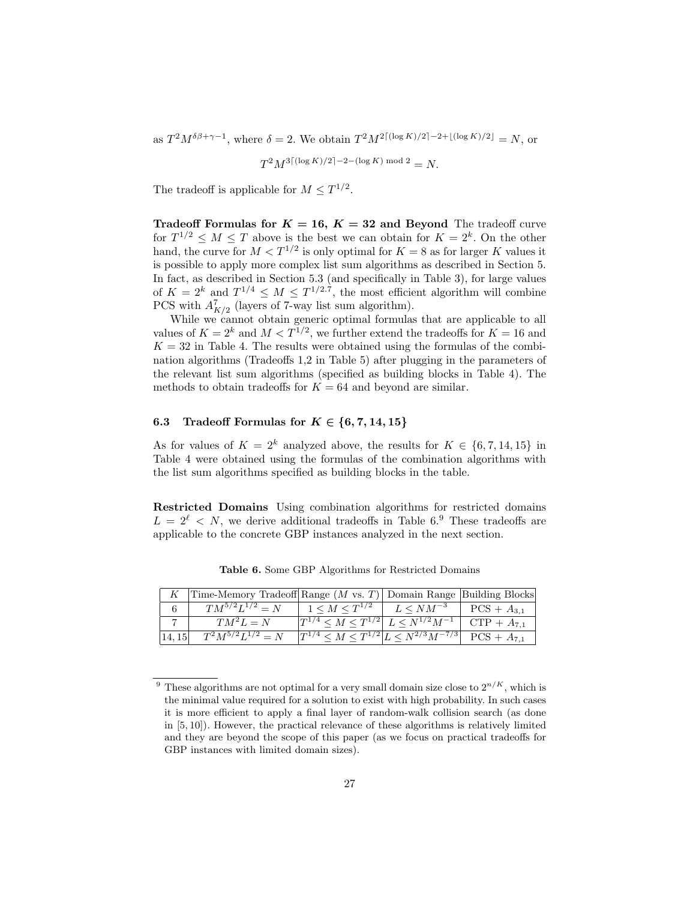as  $T^2M^{\delta\beta+\gamma-1}$ , where  $\delta=2$ . We obtain  $T^2M^{2\lceil(\log K)/2\rceil-2+\lfloor(\log K)/2\rfloor}=N$ , or

$$
T^2 M^{3\lceil (\log K)/2 \rceil - 2 - (\log K) \bmod 2} = N.
$$

The tradeoff is applicable for  $M \leq T^{1/2}$ .

Tradeoff Formulas for  $K = 16$ ,  $K = 32$  and Beyond The tradeoff curve for  $T^{1/2} \leq M \leq T$  above is the best we can obtain for  $K = 2<sup>k</sup>$ . On the other hand, the curve for  $M < T^{1/2}$  is only optimal for  $K = 8$  as for larger K values it is possible to apply more complex list sum algorithms as described in Section 5. In fact, as described in Section 5.3 (and specifically in Table 3), for large values of  $K = 2^k$  and  $T^{1/4} \leq M \leq T^{1/2.7}$ , the most efficient algorithm will combine PCS with  $A_{K/2}^7$  (layers of 7-way list sum algorithm).

While we cannot obtain generic optimal formulas that are applicable to all values of  $K = 2^k$  and  $M < T^{1/2}$ , we further extend the tradeoffs for  $K = 16$  and  $K = 32$  in Table 4. The results were obtained using the formulas of the combination algorithms (Tradeoffs 1,2 in Table 5) after plugging in the parameters of the relevant list sum algorithms (specified as building blocks in Table 4). The methods to obtain tradeoffs for  $K = 64$  and beyond are similar.

## 6.3 Tradeoff Formulas for  $K \in \{6, 7, 14, 15\}$

As for values of  $K = 2^k$  analyzed above, the results for  $K \in \{6, 7, 14, 15\}$  in Table 4 were obtained using the formulas of the combination algorithms with the list sum algorithms specified as building blocks in the table.

Restricted Domains Using combination algorithms for restricted domains  $L = 2^{\ell} < N$ , we derive additional tradeoffs in Table 6.<sup>9</sup> These tradeoffs are applicable to the concrete GBP instances analyzed in the next section.

|        | Time-Memory Tradeoff Range $(M \text{ vs. } T)$ Domain Range Building Blocks |                                                                                         |                 |
|--------|------------------------------------------------------------------------------|-----------------------------------------------------------------------------------------|-----------------|
|        | $T M^{5/2} L^{1/2} = N$                                                      | $1 \leq M \leq T^{1/2}$ $L \leq N M^{-3}$                                               | $PCS + A_{3.1}$ |
|        | $T M^2 L = N$                                                                | $T^{1/4} \leq M \leq T^{1/2}$ $L \leq N^{1/2} M^{-1}$ CTP + $A_{7,1}$                   |                 |
| 14, 15 | $T^2M^{5/2}\overline{L^{1/2}} = N$                                           | $\overline{ T^{1/4} \leq M \leq T^{1/2} }L \leq N^{2/3}M^{-7/3}$ PCS + A <sub>7.1</sub> |                 |

Table 6. Some GBP Algorithms for Restricted Domains

<sup>&</sup>lt;sup>9</sup> These algorithms are not optimal for a very small domain size close to  $2^{n/K}$ , which is the minimal value required for a solution to exist with high probability. In such cases it is more efficient to apply a final layer of random-walk collision search (as done in [5, 10]). However, the practical relevance of these algorithms is relatively limited and they are beyond the scope of this paper (as we focus on practical tradeoffs for GBP instances with limited domain sizes).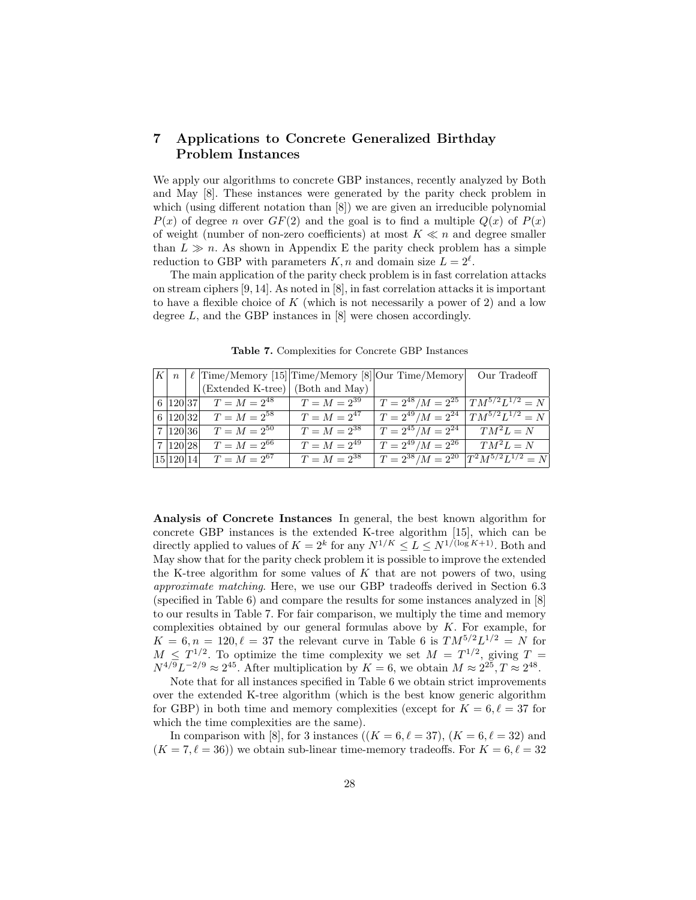## 7 Applications to Concrete Generalized Birthday Problem Instances

We apply our algorithms to concrete GBP instances, recently analyzed by Both and May [8]. These instances were generated by the parity check problem in which (using different notation than  $[8]$ ) we are given an irreducible polynomial  $P(x)$  of degree n over  $GF(2)$  and the goal is to find a multiple  $Q(x)$  of  $P(x)$ of weight (number of non-zero coefficients) at most  $K \ll n$  and degree smaller than  $L \gg n$ . As shown in Appendix E the parity check problem has a simple reduction to GBP with parameters  $K, n$  and domain size  $L = 2^{\ell}$ .

The main application of the parity check problem is in fast correlation attacks on stream ciphers  $[9, 14]$ . As noted in  $[8]$ , in fast correlation attacks it is important to have a flexible choice of  $K$  (which is not necessarily a power of 2) and a low degree  $L$ , and the GBP instances in  $[8]$  were chosen accordingly.

|                              |                                  |                  | $ K $ n $ \ell $ Time/Memory [15] Time/Memory [8] Our Time/Memory Our Tradeoff |               |
|------------------------------|----------------------------------|------------------|--------------------------------------------------------------------------------|---------------|
|                              | (Extended K-tree) (Both and May) |                  |                                                                                |               |
|                              | 6   120   37   $T = M = 2^{48}$  | $T = M = 2^{39}$ | $T = 2^{48}/M = 2^{25}$ $\boxed{TM^{5/2}L^{1/2} = N}$                          |               |
| $6 \vert 120 \vert 32 \vert$ | $T = M = 2^{58}$                 | $T = M = 2^{47}$ | $T = 2^{49}/M = 2^{24}$ $\boxed{TM^{5/2}L^{1/2} = N}$                          |               |
| 7 120 36                     | $T = M = 2^{50}$                 | $T = M = 2^{38}$ | $T = 2^{45}/M = 2^{24}$ $T M^2 L = N$                                          |               |
| 7 120 28                     | $T = M = 2^{66}$                 | $T = M = 2^{49}$ | $T = 2^{49}/M = 2^{26}$                                                        | $T M^2 L = N$ |
| 15 120 14                    | $T = M = 2^{67}$                 | $T = M = 2^{38}$ | $T = 2^{38}/M = 2^{20}  T^2M^{5/2}L^{1/2} = N$                                 |               |

Table 7. Complexities for Concrete GBP Instances

Analysis of Concrete Instances In general, the best known algorithm for concrete GBP instances is the extended K-tree algorithm [15], which can be directly applied to values of  $K = 2^k$  for any  $N^{1/K} \le L \le N^{1/(\log K + 1)}$ . Both and May show that for the parity check problem it is possible to improve the extended the K-tree algorithm for some values of  $K$  that are not powers of two, using approximate matching. Here, we use our GBP tradeoffs derived in Section 6.3 (specified in Table 6) and compare the results for some instances analyzed in [8] to our results in Table 7. For fair comparison, we multiply the time and memory complexities obtained by our general formulas above by  $K$ . For example, for  $K = 6, n = 120, \ell = 37$  the relevant curve in Table 6 is  $TM^{5/2}L^{1/2} = N$  for  $M \leq T^{1/2}$ . To optimize the time complexity we set  $M = T^{1/2}$ , giving  $T =$  $N^{4/9}L^{-2/9} \approx 2^{45}$ . After multiplication by  $K = 6$ , we obtain  $M \approx 2^{25}$ ,  $T \approx 2^{48}$ .

Note that for all instances specified in Table 6 we obtain strict improvements over the extended K-tree algorithm (which is the best know generic algorithm for GBP) in both time and memory complexities (except for  $K = 6, \ell = 37$  for which the time complexities are the same).

In comparison with [8], for 3 instances ( $(K = 6, \ell = 37)$ ,  $(K = 6, \ell = 32)$  and  $(K = 7, \ell = 36)$ ) we obtain sub-linear time-memory tradeoffs. For  $K = 6, \ell = 32$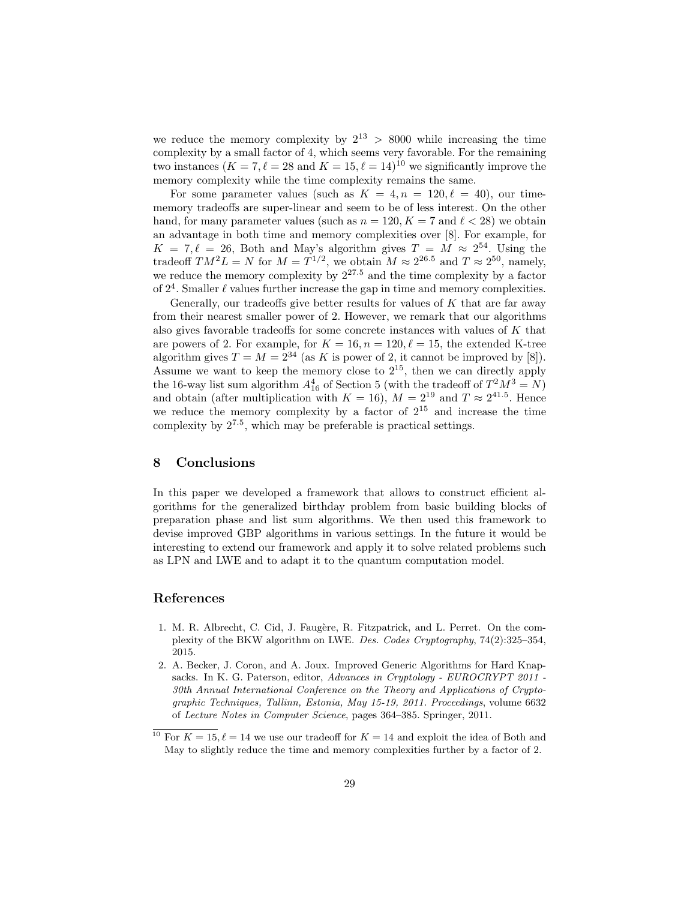we reduce the memory complexity by  $2^{13}$  > 8000 while increasing the time complexity by a small factor of 4, which seems very favorable. For the remaining two instances  $(K = 7, \ell = 28 \text{ and } K = 15, \ell = 14)^{10}$  we significantly improve the memory complexity while the time complexity remains the same.

For some parameter values (such as  $K = 4, n = 120, \ell = 40$ ), our timememory tradeoffs are super-linear and seem to be of less interest. On the other hand, for many parameter values (such as  $n = 120, K = 7$  and  $\ell < 28$ ) we obtain an advantage in both time and memory complexities over [8]. For example, for  $K = 7, \ell = 26$ , Both and May's algorithm gives  $T = M \approx 2^{54}$ . Using the tradeoff  $TM^2L = N$  for  $M = T^{1/2}$ , we obtain  $M \approx 2^{26.5}$  and  $T \approx 2^{50}$ , namely, we reduce the memory complexity by  $2^{27.5}$  and the time complexity by a factor of  $2<sup>4</sup>$ . Smaller  $\ell$  values further increase the gap in time and memory complexities.

Generally, our tradeoffs give better results for values of  $K$  that are far away from their nearest smaller power of 2. However, we remark that our algorithms also gives favorable tradeoffs for some concrete instances with values of K that are powers of 2. For example, for  $K = 16$ ,  $n = 120$ ,  $\ell = 15$ , the extended K-tree algorithm gives  $T = M = 2^{34}$  (as K is power of 2, it cannot be improved by [8]). Assume we want to keep the memory close to  $2^{15}$ , then we can directly apply the 16-way list sum algorithm  $A_{16}^4$  of Section 5 (with the tradeoff of  $T^2M^3 = N$ ) and obtain (after multiplication with  $K = 16$ ),  $M = 2^{19}$  and  $T \approx 2^{41.5}$ . Hence we reduce the memory complexity by a factor of  $2^{15}$  and increase the time complexity by  $2^{7.5}$ , which may be preferable is practical settings.

## 8 Conclusions

In this paper we developed a framework that allows to construct efficient algorithms for the generalized birthday problem from basic building blocks of preparation phase and list sum algorithms. We then used this framework to devise improved GBP algorithms in various settings. In the future it would be interesting to extend our framework and apply it to solve related problems such as LPN and LWE and to adapt it to the quantum computation model.

## References

- 1. M. R. Albrecht, C. Cid. J. Faugère, R. Fitzpatrick, and L. Perret. On the complexity of the BKW algorithm on LWE. Des. Codes Cryptography, 74(2):325–354, 2015.
- 2. A. Becker, J. Coron, and A. Joux. Improved Generic Algorithms for Hard Knapsacks. In K. G. Paterson, editor, Advances in Cryptology - EUROCRYPT 2011 - 30th Annual International Conference on the Theory and Applications of Cryptographic Techniques, Tallinn, Estonia, May 15-19, 2011. Proceedings, volume 6632 of Lecture Notes in Computer Science, pages 364–385. Springer, 2011.

<sup>&</sup>lt;sup>10</sup> For  $K = 15, \ell = 14$  we use our tradeoff for  $K = 14$  and exploit the idea of Both and May to slightly reduce the time and memory complexities further by a factor of 2.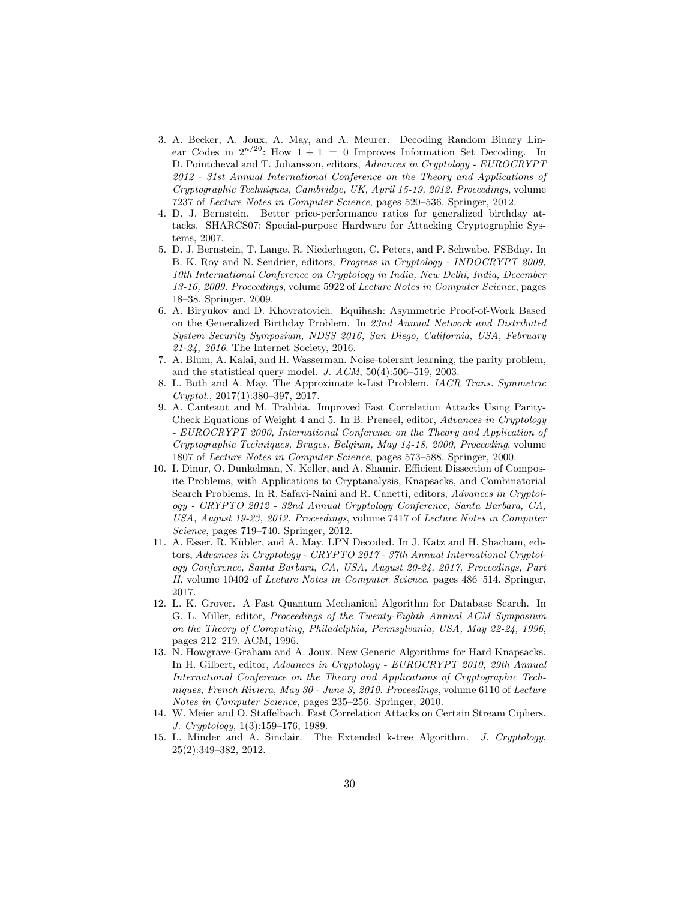- 3. A. Becker, A. Joux, A. May, and A. Meurer. Decoding Random Binary Linear Codes in  $2^{n/20}$ : How  $1 + 1 = 0$  Improves Information Set Decoding. In D. Pointcheval and T. Johansson, editors, Advances in Cryptology - EUROCRYPT 2012 - 31st Annual International Conference on the Theory and Applications of Cryptographic Techniques, Cambridge, UK, April 15-19, 2012. Proceedings, volume 7237 of Lecture Notes in Computer Science, pages 520–536. Springer, 2012.
- 4. D. J. Bernstein. Better price-performance ratios for generalized birthday attacks. SHARCS07: Special-purpose Hardware for Attacking Cryptographic Systems, 2007.
- 5. D. J. Bernstein, T. Lange, R. Niederhagen, C. Peters, and P. Schwabe. FSBday. In B. K. Roy and N. Sendrier, editors, Progress in Cryptology - INDOCRYPT 2009, 10th International Conference on Cryptology in India, New Delhi, India, December 13-16, 2009. Proceedings, volume 5922 of Lecture Notes in Computer Science, pages 18–38. Springer, 2009.
- 6. A. Biryukov and D. Khovratovich. Equihash: Asymmetric Proof-of-Work Based on the Generalized Birthday Problem. In 23nd Annual Network and Distributed System Security Symposium, NDSS 2016, San Diego, California, USA, February 21-24, 2016. The Internet Society, 2016.
- 7. A. Blum, A. Kalai, and H. Wasserman. Noise-tolerant learning, the parity problem, and the statistical query model. J.  $ACM$ ,  $50(4):506-519$ , 2003.
- 8. L. Both and A. May. The Approximate k-List Problem. IACR Trans. Symmetric Cryptol., 2017(1):380–397, 2017.
- 9. A. Canteaut and M. Trabbia. Improved Fast Correlation Attacks Using Parity-Check Equations of Weight 4 and 5. In B. Preneel, editor, Advances in Cryptology - EUROCRYPT 2000, International Conference on the Theory and Application of Cryptographic Techniques, Bruges, Belgium, May 14-18, 2000, Proceeding, volume 1807 of Lecture Notes in Computer Science, pages 573–588. Springer, 2000.
- 10. I. Dinur, O. Dunkelman, N. Keller, and A. Shamir. Efficient Dissection of Composite Problems, with Applications to Cryptanalysis, Knapsacks, and Combinatorial Search Problems. In R. Safavi-Naini and R. Canetti, editors, Advances in Cryptology - CRYPTO 2012 - 32nd Annual Cryptology Conference, Santa Barbara, CA, USA, August 19-23, 2012. Proceedings, volume 7417 of Lecture Notes in Computer Science, pages 719–740. Springer, 2012.
- 11. A. Esser, R. K¨ubler, and A. May. LPN Decoded. In J. Katz and H. Shacham, editors, Advances in Cryptology - CRYPTO 2017 - 37th Annual International Cryptology Conference, Santa Barbara, CA, USA, August 20-24, 2017, Proceedings, Part II, volume 10402 of Lecture Notes in Computer Science, pages 486–514. Springer, 2017.
- 12. L. K. Grover. A Fast Quantum Mechanical Algorithm for Database Search. In G. L. Miller, editor, Proceedings of the Twenty-Eighth Annual ACM Symposium on the Theory of Computing, Philadelphia, Pennsylvania, USA, May 22-24, 1996, pages 212–219. ACM, 1996.
- 13. N. Howgrave-Graham and A. Joux. New Generic Algorithms for Hard Knapsacks. In H. Gilbert, editor, Advances in Cryptology - EUROCRYPT 2010, 29th Annual International Conference on the Theory and Applications of Cryptographic Techniques, French Riviera, May 30 - June 3, 2010. Proceedings, volume 6110 of Lecture Notes in Computer Science, pages 235–256. Springer, 2010.
- 14. W. Meier and O. Staffelbach. Fast Correlation Attacks on Certain Stream Ciphers. J. Cryptology, 1(3):159–176, 1989.
- 15. L. Minder and A. Sinclair. The Extended k-tree Algorithm. J. Cryptology, 25(2):349–382, 2012.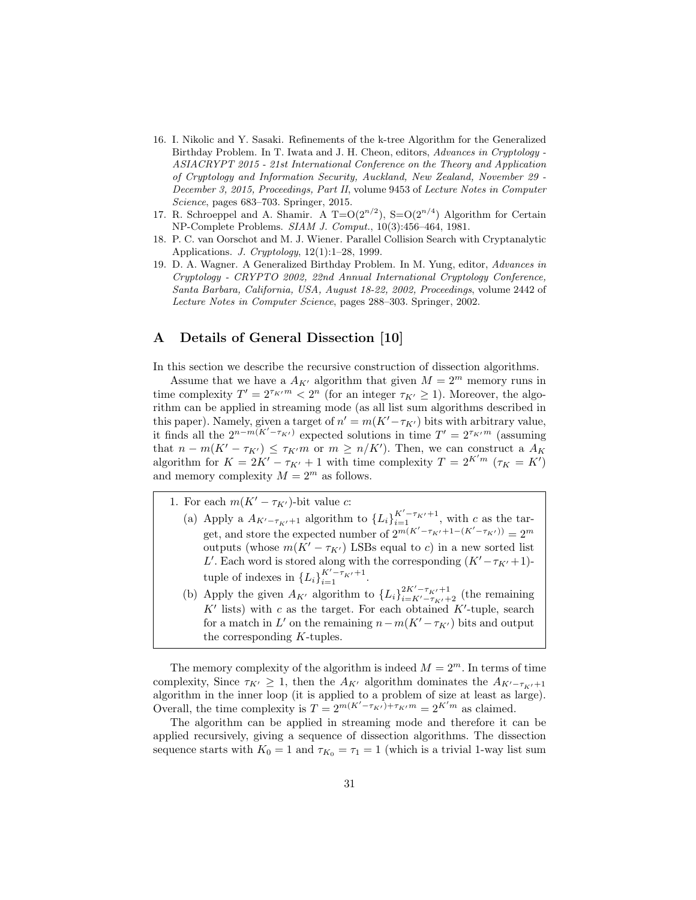- 16. I. Nikolic and Y. Sasaki. Refinements of the k-tree Algorithm for the Generalized Birthday Problem. In T. Iwata and J. H. Cheon, editors, Advances in Cryptology - ASIACRYPT 2015 - 21st International Conference on the Theory and Application of Cryptology and Information Security, Auckland, New Zealand, November 29 - December 3, 2015, Proceedings, Part II, volume 9453 of Lecture Notes in Computer Science, pages 683–703. Springer, 2015.
- 17. R. Schroeppel and A. Shamir. A  $T=O(2^{n/2})$ , S= $O(2^{n/4})$  Algorithm for Certain NP-Complete Problems. SIAM J. Comput., 10(3):456–464, 1981.
- 18. P. C. van Oorschot and M. J. Wiener. Parallel Collision Search with Cryptanalytic Applications. J. Cryptology, 12(1):1–28, 1999.
- 19. D. A. Wagner. A Generalized Birthday Problem. In M. Yung, editor, Advances in Cryptology - CRYPTO 2002, 22nd Annual International Cryptology Conference, Santa Barbara, California, USA, August 18-22, 2002, Proceedings, volume 2442 of Lecture Notes in Computer Science, pages 288–303. Springer, 2002.

## A Details of General Dissection [10]

In this section we describe the recursive construction of dissection algorithms.

Assume that we have a  $A_{K'}$  algorithm that given  $M = 2^m$  memory runs in time complexity  $T' = 2^{\tau_{K'}m} < 2^n$  (for an integer  $\tau_{K'} \ge 1$ ). Moreover, the algorithm can be applied in streaming mode (as all list sum algorithms described in this paper). Namely, given a target of  $n' = m(K' - \tau_{K'})$  bits with arbitrary value, it finds all the  $2^{n-m(K'-\tau_{K'})}$  expected solutions in time  $T' = 2^{\tau_{K'}m}$  (assuming that  $n - m(K' - \tau_{K'}) \leq \tau_{K'} m$  or  $m \geq n/K'$ ). Then, we can construct a  $A_K$ algorithm for  $K = 2K' - \tau_{K'} + 1$  with time complexity  $T = 2^{K'm} (\tau_K = K')$ and memory complexity  $M = 2^m$  as follows.

- 1. For each  $m(K' \tau_{K'})$ -bit value c:
	- (a) Apply a  $A_{K'-\tau_{K'}+1}$  algorithm to  $\{L_i\}_{i=1}^{K'-\tau_{K'}+1}$ , with c as the target, and store the expected number of  $2^{m(K'-\tau_{K'}+1-(K'-\tau_{K'}))} = 2^m$ outputs (whose  $m(K' - \tau_{K'})$  LSBs equal to c) in a new sorted list L'. Each word is stored along with the corresponding  $(K' - \tau_{K'} + 1)$ tuple of indexes in  $\{L_i\}_{i=1}^{K'-\tau_{K'}+1}$ .
	- (b) Apply the given  $A_{K'}$  algorithm to  $\{L_i\}_{i=K'-\tau_{K'}+1}^{2K'-\tau_{K'}+1}$  (the remaining  $K'$  lists) with c as the target. For each obtained  $K'$ -tuple, search for a match in L' on the remaining  $n-m(K'-\tau_{K'})$  bits and output the corresponding K-tuples.

The memory complexity of the algorithm is indeed  $M = 2<sup>m</sup>$ . In terms of time complexity, Since  $\tau_{K'} \geq 1$ , then the  $A_{K'}$  algorithm dominates the  $A_{K'-\tau_{K'}+1}$ algorithm in the inner loop (it is applied to a problem of size at least as large). Overall, the time complexity is  $T = 2^{m(K'-\tau_{K'})+\tau_{K'}m} = 2^{K'm}$  as claimed.

The algorithm can be applied in streaming mode and therefore it can be applied recursively, giving a sequence of dissection algorithms. The dissection sequence starts with  $K_0 = 1$  and  $\tau_{K_0} = \tau_1 = 1$  (which is a trivial 1-way list sum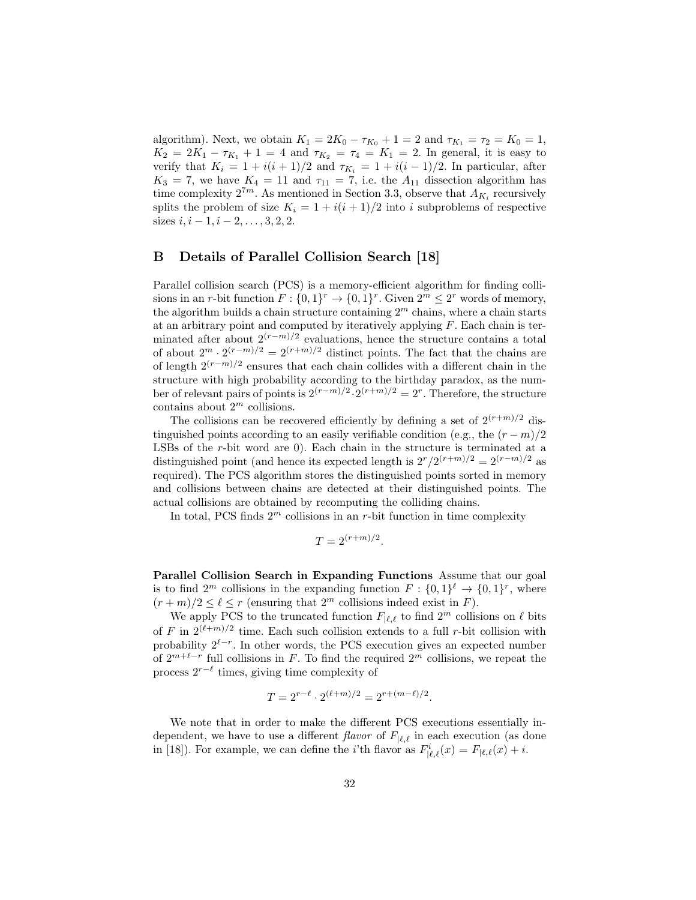algorithm). Next, we obtain  $K_1 = 2K_0 - \tau_{K_0} + 1 = 2$  and  $\tau_{K_1} = \tau_2 = K_0 = 1$ ,  $K_2 = 2K_1 - \tau_{K_1} + 1 = 4$  and  $\tau_{K_2} = \tau_4 = K_1 = 2$ . In general, it is easy to verify that  $K_i = 1 + i(i + 1)/2$  and  $\tau_{K_i} = 1 + i(i - 1)/2$ . In particular, after  $K_3 = 7$ , we have  $K_4 = 11$  and  $\tau_{11} = 7$ , i.e. the  $A_{11}$  dissection algorithm has time complexity  $2^{7m}$ . As mentioned in Section 3.3, observe that  $A_{K_i}$  recursively splits the problem of size  $K_i = 1 + i(i + 1)/2$  into i subproblems of respective sizes  $i, i-1, i-2, \ldots, 3, 2, 2$ .

## B Details of Parallel Collision Search [18]

Parallel collision search (PCS) is a memory-efficient algorithm for finding collisions in an r-bit function  $F: \{0,1\}^r \to \{0,1\}^r$ . Given  $2^m \leq 2^r$  words of memory, the algorithm builds a chain structure containing  $2<sup>m</sup>$  chains, where a chain starts at an arbitrary point and computed by iteratively applying  $F$ . Each chain is terminated after about  $2^{(r-m)/2}$  evaluations, hence the structure contains a total of about  $2^m \cdot 2^{(r-m)/2} = 2^{(r+m)/2}$  distinct points. The fact that the chains are of length  $2^{(r-m)/2}$  ensures that each chain collides with a different chain in the structure with high probability according to the birthday paradox, as the number of relevant pairs of points is  $2^{(r-m)/2} \cdot 2^{(r+m)/2} = 2^r$ . Therefore, the structure contains about  $2^m$  collisions.

The collisions can be recovered efficiently by defining a set of  $2^{(r+m)/2}$  distinguished points according to an easily verifiable condition (e.g., the  $(r - m)/2$ LSBs of the r-bit word are 0). Each chain in the structure is terminated at a distinguished point (and hence its expected length is  $2^r/2^{(r+m)/2} = 2^{(r-m)/2}$  as required). The PCS algorithm stores the distinguished points sorted in memory and collisions between chains are detected at their distinguished points. The actual collisions are obtained by recomputing the colliding chains.

In total, PCS finds  $2^m$  collisions in an r-bit function in time complexity

$$
T = 2^{(r+m)/2}.
$$

Parallel Collision Search in Expanding Functions Assume that our goal is to find  $2^m$  collisions in the expanding function  $F: \{0,1\}^{\ell} \to \{0,1\}^r$ , where  $(r+m)/2 \leq \ell \leq r$  (ensuring that  $2^m$  collisions indeed exist in F).

We apply PCS to the truncated function  $F_{|\ell,\ell}$  to find  $2^m$  collisions on  $\ell$  bits of F in  $2^{(\ell+m)/2}$  time. Each such collision extends to a full r-bit collision with probability  $2^{\ell-r}$ . In other words, the PCS execution gives an expected number of  $2^{m+\ell-r}$  full collisions in F. To find the required  $2^m$  collisions, we repeat the process  $2^{r-\ell}$  times, giving time complexity of

$$
T = 2^{r-\ell} \cdot 2^{(\ell+m)/2} = 2^{r+(m-\ell)/2}.
$$

We note that in order to make the different PCS executions essentially independent, we have to use a different flavor of  $F_{\ell,\ell}$  in each execution (as done in [18]). For example, we can define the *i*'th flavor as  $F^i_{\lbrack \ell,\ell}(x) = F_{\lbrack \ell,\ell}(x) + i$ .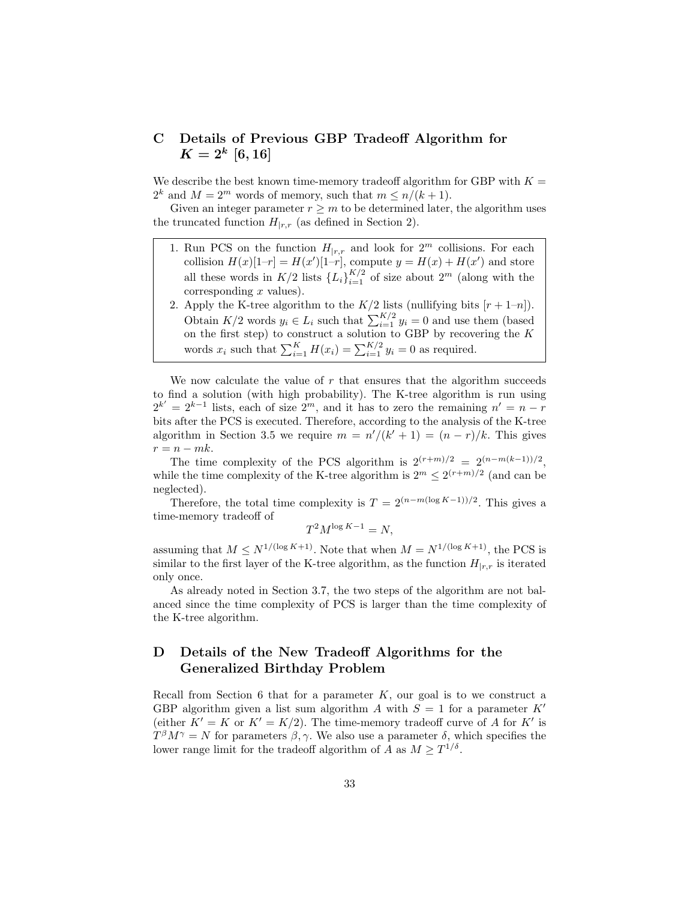## C Details of Previous GBP Tradeoff Algorithm for  $K=2^k \;[6,16]$

We describe the best known time-memory tradeoff algorithm for GBP with  $K =$  $2^k$  and  $M = 2^m$  words of memory, such that  $m \leq n/(k+1)$ .

Given an integer parameter  $r \geq m$  to be determined later, the algorithm uses the truncated function  $H_{|r,r}$  (as defined in Section 2).

- 1. Run PCS on the function  $H_{|r,r}$  and look for  $2^m$  collisions. For each collision  $H(x)[1-r] = H(x')[1-r]$ , compute  $y = H(x) + H(x')$  and store all these words in  $K/2$  lists  $\{L_i\}_{i=1}^{K/2}$  of size about  $2^m$  (along with the  $corresponding x values).$
- 2. Apply the K-tree algorithm to the  $K/2$  lists (nullifying bits  $[r+1-n]$ ). Obtain  $K/2$  words  $y_i \in L_i$  such that  $\sum_{i=1}^{K/2} y_i = 0$  and use them (based on the first step) to construct a solution to GBP by recovering the  $K$ words  $x_i$  such that  $\sum_{i=1}^K H(x_i) = \sum_{i=1}^{K/2} y_i = 0$  as required.

We now calculate the value of  $r$  that ensures that the algorithm succeeds to find a solution (with high probability). The K-tree algorithm is run using  $2^{k'} = 2^{k-1}$  lists, each of size  $2^m$ , and it has to zero the remaining  $n' = n - r$ bits after the PCS is executed. Therefore, according to the analysis of the K-tree algorithm in Section 3.5 we require  $m = n'/(k' + 1) = (n - r)/k$ . This gives  $r = n - mk$ .

The time complexity of the PCS algorithm is  $2^{(r+m)/2} = 2^{(n-m(k-1))/2}$ , while the time complexity of the K-tree algorithm is  $2^m \leq 2^{(r+m)/2}$  (and can be neglected).

Therefore, the total time complexity is  $T = 2^{(n-m(\log K-1))/2}$ . This gives a time-memory tradeoff of

$$
T^2 M^{\log K - 1} = N,
$$

assuming that  $M \leq N^{1/(\log K + 1)}$ . Note that when  $M = N^{1/(\log K + 1)}$ , the PCS is similar to the first layer of the K-tree algorithm, as the function  $H_{r,r}$  is iterated only once.

As already noted in Section 3.7, the two steps of the algorithm are not balanced since the time complexity of PCS is larger than the time complexity of the K-tree algorithm.

## D Details of the New Tradeoff Algorithms for the Generalized Birthday Problem

Recall from Section 6 that for a parameter  $K$ , our goal is to we construct a GBP algorithm given a list sum algorithm A with  $S = 1$  for a parameter K' (either  $K' = K$  or  $K' = K/2$ ). The time-memory tradeoff curve of A for K' is  $T^{\beta}M^{\gamma} = N$  for parameters  $\beta, \gamma$ . We also use a parameter  $\delta$ , which specifies the lower range limit for the tradeoff algorithm of A as  $M \geq T^{1/\delta}$ .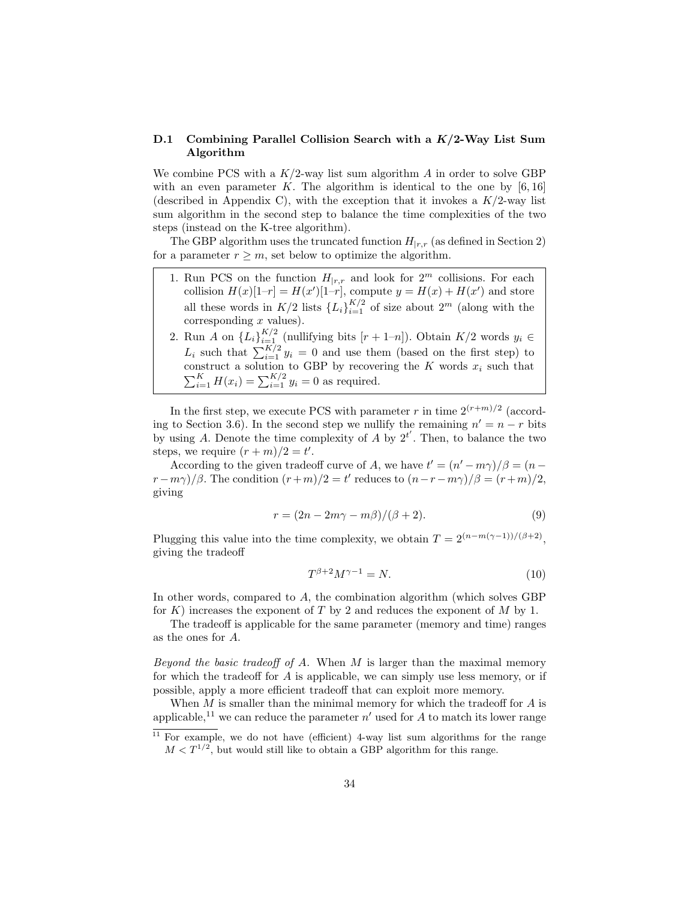## D.1 Combining Parallel Collision Search with a  $K/2$ -Way List Sum Algorithm

We combine PCS with a  $K/2$ -way list sum algorithm A in order to solve GBP with an even parameter K. The algorithm is identical to the one by  $[6, 16]$ (described in Appendix C), with the exception that it invokes a  $K/2$ -way list sum algorithm in the second step to balance the time complexities of the two steps (instead on the K-tree algorithm).

The GBP algorithm uses the truncated function  $H_{|r,r}$  (as defined in Section 2) for a parameter  $r \geq m$ , set below to optimize the algorithm.

- 1. Run PCS on the function  $H_{|r,r}$  and look for  $2^m$  collisions. For each collision  $H(x)[1-r] = H(x')[1-r]$ , compute  $y = H(x) + H(x')$  and store all these words in  $K/2$  lists  $\{L_i\}_{i=1}^{K/2}$  of size about  $2^m$  (along with the  $corresponding x values).$
- 2. Run A on  $\{L_i\}_{i=1}^{K/2}$  (nullifying bits  $[r+1-n]$ ). Obtain  $K/2$  words  $y_i \in$  $L_i$  such that  $\sum_{i=1}^{K/2} y_i = 0$  and use them (based on the first step) to construct a solution to GBP by recovering the K words  $x_i$  such that  $\sum_{i=1}^{K} H(x_i) = \sum_{i=1}^{K/2} y_i = 0$  as required.

In the first step, we execute PCS with parameter r in time  $2^{(r+m)/2}$  (according to Section 3.6). In the second step we nullify the remaining  $n' = n - r$  bits by using A. Denote the time complexity of A by  $2^{t'}$ . Then, to balance the two steps, we require  $(r+m)/2 = t'$ .

According to the given tradeoff curve of A, we have  $t' = (n' - m\gamma)/\beta = (n (r-m\gamma)/\beta$ . The condition  $(r+m)/2 = t'$  reduces to  $(n-r-m\gamma)/\beta = (r+m)/2$ , giving

$$
r = (2n - 2m\gamma - m\beta)/(\beta + 2). \tag{9}
$$

Plugging this value into the time complexity, we obtain  $T = 2^{(n-m(\gamma-1))/(\beta+2)}$ , giving the tradeoff

$$
T^{\beta+2}M^{\gamma-1} = N.\t\t(10)
$$

In other words, compared to  $A$ , the combination algorithm (which solves GBP) for K) increases the exponent of T by 2 and reduces the exponent of M by 1.

The tradeoff is applicable for the same parameter (memory and time) ranges as the ones for A.

Beyond the basic tradeoff of A. When  $M$  is larger than the maximal memory for which the tradeoff for  $A$  is applicable, we can simply use less memory, or if possible, apply a more efficient tradeoff that can exploit more memory.

When  $M$  is smaller than the minimal memory for which the tradeoff for  $A$  is applicable,<sup>11</sup> we can reduce the parameter  $n'$  used for A to match its lower range

 $\frac{11}{11}$  For example, we do not have (efficient) 4-way list sum algorithms for the range  $M < T^{1/2}$ , but would still like to obtain a GBP algorithm for this range.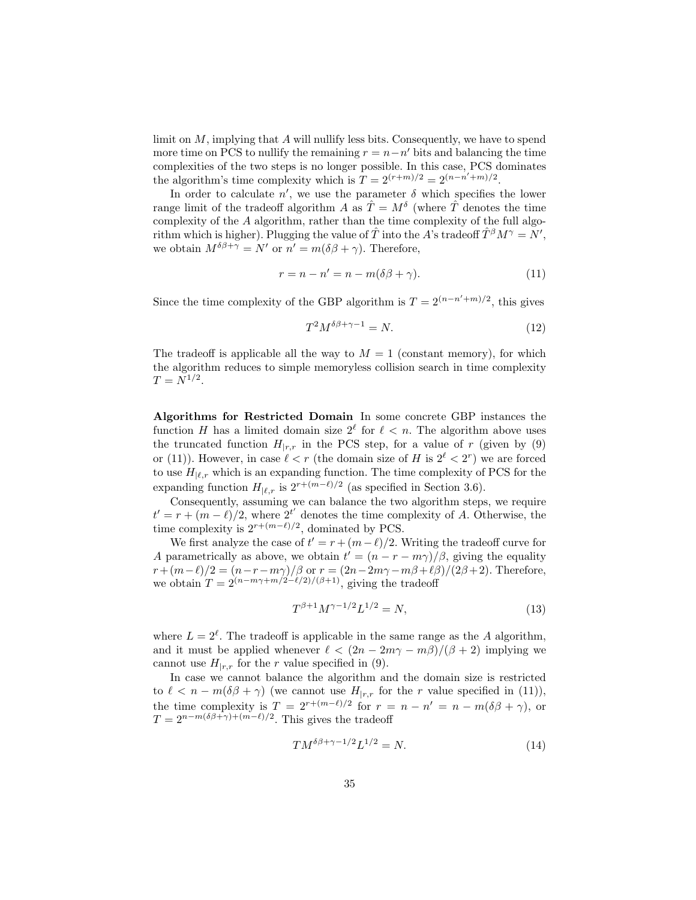limit on  $M$ , implying that  $A$  will nullify less bits. Consequently, we have to spend more time on PCS to nullify the remaining  $r = n - n'$  bits and balancing the time complexities of the two steps is no longer possible. In this case, PCS dominates the algorithm's time complexity which is  $T = 2^{(r+m)/2} = 2^{(n-n'+m)/2}$ .

In order to calculate  $n'$ , we use the parameter  $\delta$  which specifies the lower range limit of the tradeoff algorithm A as  $\hat{T} = M^{\delta}$  (where  $\hat{T}$  denotes the time complexity of the A algorithm, rather than the time complexity of the full algorithm which is higher). Plugging the value of  $\hat{T}$  into the A's tradeoff  $\hat{T}^{\beta}M^{\gamma} = N',$ we obtain  $M^{\delta\beta+\gamma} = N'$  or  $n' = m(\delta\beta+\gamma)$ . Therefore,

$$
r = n - n' = n - m(\delta\beta + \gamma).
$$
 (11)

Since the time complexity of the GBP algorithm is  $T = 2^{(n-n'+m)/2}$ , this gives

$$
T^2 M^{\delta\beta + \gamma - 1} = N. \tag{12}
$$

The tradeoff is applicable all the way to  $M = 1$  (constant memory), for which the algorithm reduces to simple memoryless collision search in time complexity  $T = N^{1/2}.$ 

Algorithms for Restricted Domain In some concrete GBP instances the function H has a limited domain size  $2^{\ell}$  for  $\ell < n$ . The algorithm above uses the truncated function  $H_{|r,r}$  in the PCS step, for a value of r (given by (9) or (11)). However, in case  $\ell < r$  (the domain size of H is  $2^{\ell} < 2^r$ ) we are forced to use  $H_{\vert \ell,r}$  which is an expanding function. The time complexity of PCS for the expanding function  $H_{\lvert \ell,r}$  is  $2^{r+(m-\ell)/2}$  (as specified in Section 3.6).

Consequently, assuming we can balance the two algorithm steps, we require  $t' = r + (m - \ell)/2$ , where  $2^{t'}$  denotes the time complexity of A. Otherwise, the time complexity is  $2^{r+(m-\ell)/2}$ , dominated by PCS.

We first analyze the case of  $t' = r + (m - \ell)/2$ . Writing the tradeoff curve for A parametrically as above, we obtain  $t' = (n - r - m\gamma)/\beta$ , giving the equality  $r+(m-\ell)/2 = (n-r-m\gamma)/\beta$  or  $r = (2n-2m\gamma-m\beta+\ell\beta)/(2\beta+2)$ . Therefore, we obtain  $T = 2^{(n-m\gamma+m/2-\ell/2)/(\beta+1)}$ , giving the tradeoff

$$
T^{\beta+1}M^{\gamma-1/2}L^{1/2} = N,\t\t(13)
$$

where  $L = 2^{\ell}$ . The tradeoff is applicable in the same range as the A algorithm, and it must be applied whenever  $\ell < (2n - 2m\gamma - m\beta)/(\beta + 2)$  implying we cannot use  $H_{r,r}$  for the r value specified in (9).

In case we cannot balance the algorithm and the domain size is restricted to  $\ell < n - m(\delta\beta + \gamma)$  (we cannot use  $H_{|r,r}$  for the r value specified in (11)), the time complexity is  $T = 2^{r+(m-\ell)/2}$  for  $r = n - n' = n - m(\delta\beta + \gamma)$ , or  $T = 2^{n-m(\delta\beta + \gamma)+(m-\ell)/2}$ . This gives the tradeoff

$$
TM^{\delta\beta+\gamma-1/2}L^{1/2} = N.
$$
\n<sup>(14)</sup>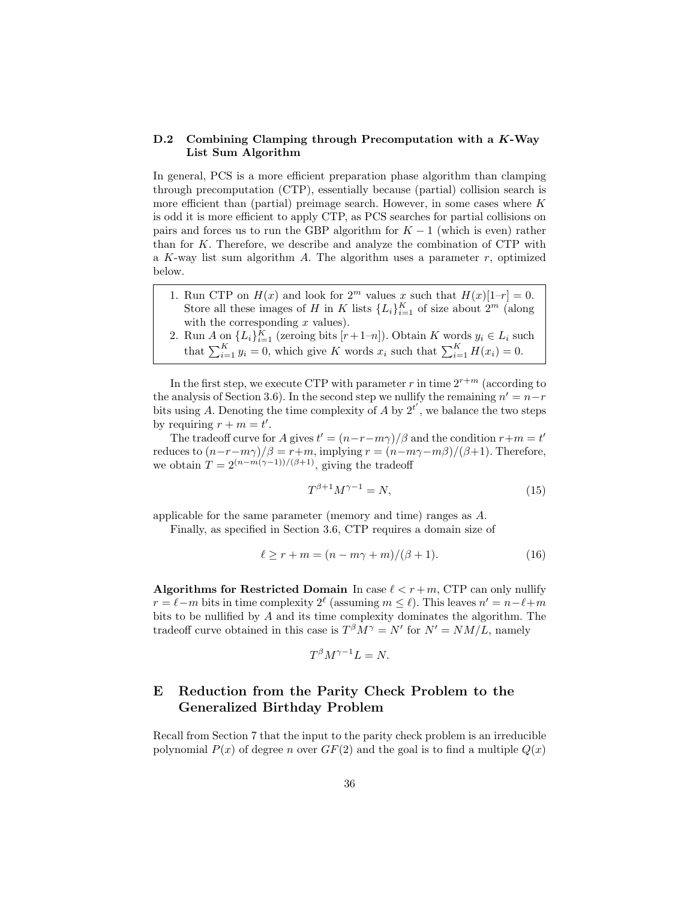### D.2 Combining Clamping through Precomputation with a K-Way List Sum Algorithm

In general, PCS is a more efficient preparation phase algorithm than clamping through precomputation (CTP), essentially because (partial) collision search is more efficient than (partial) preimage search. However, in some cases where  $K$ is odd it is more efficient to apply CTP, as PCS searches for partial collisions on pairs and forces us to run the GBP algorithm for  $K - 1$  (which is even) rather than for  $K$ . Therefore, we describe and analyze the combination of CTP with a K-way list sum algorithm A. The algorithm uses a parameter  $r$ , optimized below.

- 1. Run CTP on  $H(x)$  and look for  $2^m$  values x such that  $H(x)[1-r] = 0$ . Store all these images of H in K lists  $\{L_i\}_{i=1}^K$  of size about  $2^m$  (along with the corresponding  $x$  values).
- 2. Run A on  $\{L_i\}_{i=1}^K$  (zeroing bits  $[r+1-n]$ ). Obtain K words  $y_i \in L_i$  such that  $\sum_{i=1}^{K} y_i = 0$ , which give K words  $x_i$  such that  $\sum_{i=1}^{K} H(x_i) = 0$ .

In the first step, we execute CTP with parameter r in time  $2^{r+m}$  (according to the analysis of Section 3.6). In the second step we nullify the remaining  $n' = n - r$ bits using A. Denoting the time complexity of A by  $2^{t'}$ , we balance the two steps by requiring  $r + m = t'$ .

The tradeoff curve for A gives  $t' = (n-r-m\gamma)/\beta$  and the condition  $r+m = t'$ reduces to  $(n-r-m\gamma)/\beta = r+m$ , implying  $r = (n-m\gamma-m\beta)/(\beta+1)$ . Therefore, we obtain  $T = 2^{(n-m(\gamma-1))/(\beta+1)}$ , giving the tradeoff

$$
T^{\beta+1}M^{\gamma-1} = N,\t\t(15)
$$

applicable for the same parameter (memory and time) ranges as A.

Finally, as specified in Section 3.6, CTP requires a domain size of

$$
\ell \ge r + m = (n - m\gamma + m)/(\beta + 1). \tag{16}
$$

Algorithms for Restricted Domain In case  $\ell < r+m$ , CTP can only nullify  $r = \ell - m$  bits in time complexity  $2^{\ell}$  (assuming  $m \leq \ell$ ). This leaves  $n' = n - \ell + m$ bits to be nullified by A and its time complexity dominates the algorithm. The tradeoff curve obtained in this case is  $T^{\beta}M^{\gamma} = N'$  for  $N' = NM/L$ , namely

$$
T^{\beta}M^{\gamma-1}L=N.
$$

## E Reduction from the Parity Check Problem to the Generalized Birthday Problem

Recall from Section 7 that the input to the parity check problem is an irreducible polynomial  $P(x)$  of degree n over  $GF(2)$  and the goal is to find a multiple  $Q(x)$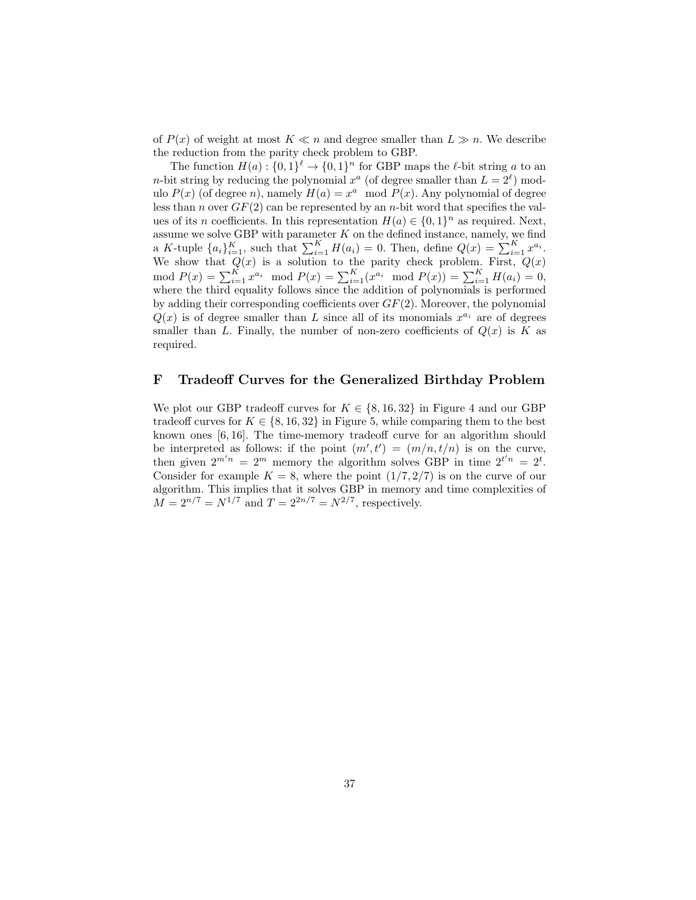of  $P(x)$  of weight at most  $K \ll n$  and degree smaller than  $L \gg n$ . We describe the reduction from the parity check problem to GBP.

The function  $H(a): \{0,1\}^{\ell} \to \{0,1\}^n$  for GBP maps the  $\ell$ -bit string a to an *n*-bit string by reducing the polynomial  $x^a$  (of degree smaller than  $L = 2^{\ell}$ ) modulo  $P(x)$  (of degree n), namely  $H(a) = x^a \mod P(x)$ . Any polynomial of degree less than n over  $GF(2)$  can be represented by an n-bit word that specifies the values of its n coefficients. In this representation  $H(a) \in \{0,1\}^n$  as required. Next, assume we solve GBP with parameter  $K$  on the defined instance, namely, we find a K-tuple  ${a_i}_{i=1}^K$ , such that  $\sum_{i=1}^K H(a_i) = 0$ . Then, define  $Q(x) = \sum_{i=1}^K x^{a_i}$ . We show that  $Q(x)$  is a solution to the parity check problem. First,  $Q(x)$ mod  $P(x) = \sum_{i=1}^{K} x^{a_i} \mod P(x) = \sum_{i=1}^{K} (x^{a_i} \mod P(x)) = \sum_{i=1}^{K} H(a_i) = 0$ , where the third equality follows since the addition of polynomials is performed by adding their corresponding coefficients over  $GF(2)$ . Moreover, the polynomial  $Q(x)$  is of degree smaller than L since all of its monomials  $x^{a_i}$  are of degrees smaller than L. Finally, the number of non-zero coefficients of  $Q(x)$  is K as required.

## F Tradeoff Curves for the Generalized Birthday Problem

We plot our GBP tradeoff curves for  $K \in \{8, 16, 32\}$  in Figure 4 and our GBP tradeoff curves for  $K \in \{8, 16, 32\}$  in Figure 5, while comparing them to the best known ones [6, 16]. The time-memory tradeoff curve for an algorithm should be interpreted as follows: if the point  $(m', t') = (m/n, t/n)$  is on the curve, then given  $2^{m'n} = 2^m$  memory the algorithm solves GBP in time  $2^{t'n} = 2^t$ . Consider for example  $K = 8$ , where the point  $(1/7, 2/7)$  is on the curve of our algorithm. This implies that it solves GBP in memory and time complexities of  $M = 2^{n/7} = N^{1/7}$  and  $T = 2^{2n/7} = N^{2/7}$ , respectively.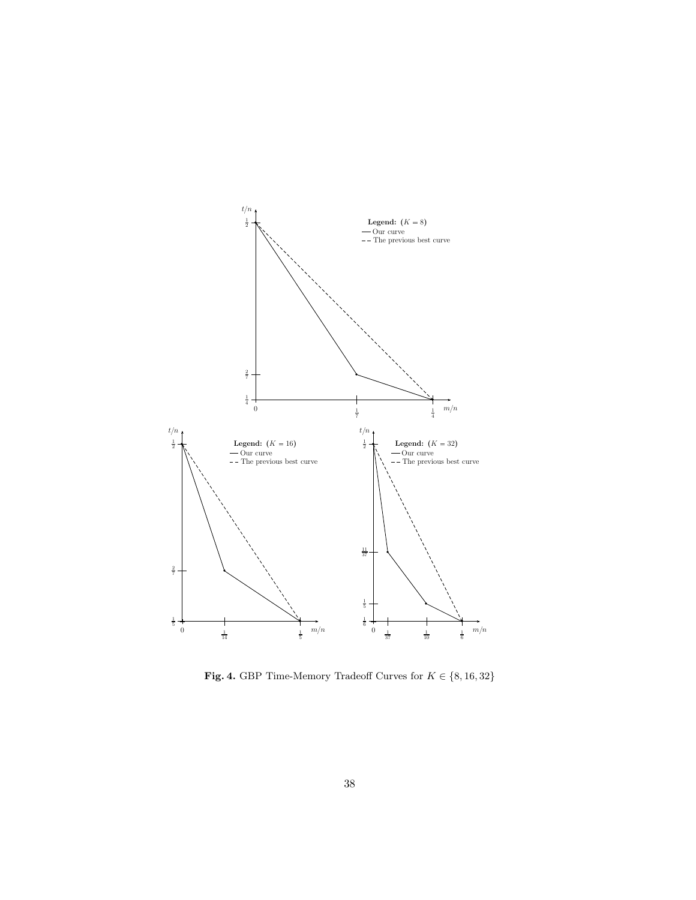

Fig. 4. GBP Time-Memory Tradeoff Curves for  $K \in \{8, 16, 32\}$